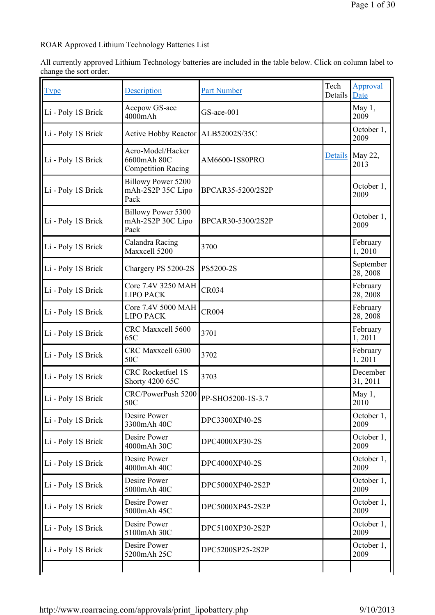ROAR Approved Lithium Technology Batteries List

All currently approved Lithium Technology batteries are included in the table below. Click on column label to change the sort order.

| <u>Type</u>        | Description                                                   | <b>Part Number</b> | Tech<br>Details | Approval<br>Date          |
|--------------------|---------------------------------------------------------------|--------------------|-----------------|---------------------------|
| Li - Poly 1S Brick | Acepow GS-ace<br>4000mAh                                      | GS-ace-001         |                 | May 1,<br>2009            |
| Li - Poly 1S Brick | Active Hobby Reactor ALB52002S/35C                            |                    |                 | October 1,<br>2009        |
| Li - Poly 1S Brick | Aero-Model/Hacker<br>6600mAh 80C<br><b>Competition Racing</b> | AM6600-1S80PRO     |                 | Details   May 22,<br>2013 |
| Li - Poly 1S Brick | <b>Billowy Power 5200</b><br>mAh-2S2P 35C Lipo<br>Pack        | BPCAR35-5200/2S2P  |                 | October 1,<br>2009        |
| Li - Poly 1S Brick | <b>Billowy Power 5300</b><br>mAh-2S2P 30C Lipo<br>Pack        | BPCAR30-5300/2S2P  |                 | October 1,<br>2009        |
| Li - Poly 1S Brick | Calandra Racing<br>Maxxcell 5200                              | 3700               |                 | February<br>1,2010        |
| Li - Poly 1S Brick | Chargery PS 5200-2S                                           | PS5200-2S          |                 | September<br>28, 2008     |
| Li - Poly 1S Brick | Core 7.4V 3250 MAH<br><b>LIPO PACK</b>                        | CR034              |                 | February<br>28, 2008      |
| Li - Poly 1S Brick | Core 7.4V 5000 MAH<br><b>LIPO PACK</b>                        | <b>CR004</b>       |                 | February<br>28, 2008      |
| Li - Poly 1S Brick | CRC Maxxcell 5600<br>65C                                      | 3701               |                 | February<br>1,2011        |
| Li - Poly 1S Brick | CRC Maxxcell 6300<br>50C                                      | 3702               |                 | February<br>1,2011        |
| Li - Poly 1S Brick | <b>CRC</b> Rocketfuel 1S<br><b>Shorty 4200 65C</b>            | 3703               |                 | December<br>31, 2011      |
| Li - Poly 1S Brick | CRC/PowerPush 5200<br>50C                                     | PP-SHO5200-1S-3.7  |                 | May 1,<br>2010            |
| Li - Poly 1S Brick | Desire Power<br>3300mAh 40C                                   | DPC3300XP40-2S     |                 | October 1,<br>2009        |
| Li - Poly 1S Brick | Desire Power<br>4000mAh 30C                                   | DPC4000XP30-2S     |                 | October 1,<br>2009        |
| Li - Poly 1S Brick | Desire Power<br>4000mAh 40C                                   | DPC4000XP40-2S     |                 | October 1,<br>2009        |
| Li - Poly 1S Brick | <b>Desire Power</b><br>5000mAh 40C                            | DPC5000XP40-2S2P   |                 | October 1,<br>2009        |
| Li - Poly 1S Brick | Desire Power<br>5000mAh 45C                                   | DPC5000XP45-2S2P   |                 | October 1,<br>2009        |
| Li - Poly 1S Brick | <b>Desire Power</b><br>5100mAh 30C                            | DPC5100XP30-2S2P   |                 | October 1,<br>2009        |
| Li - Poly 1S Brick | Desire Power<br>5200mAh 25C                                   | DPC5200SP25-2S2P   |                 | October 1,<br>2009        |
|                    |                                                               |                    |                 |                           |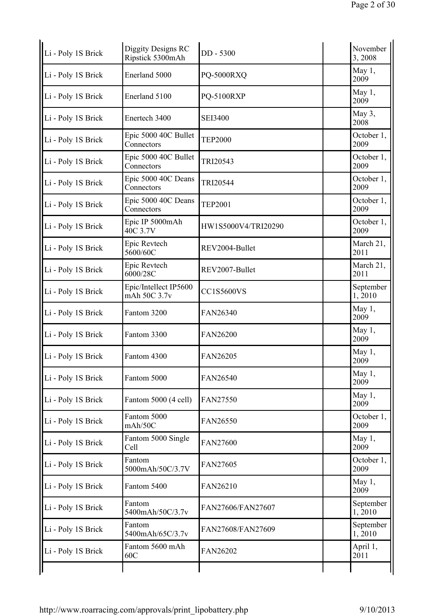| Li - Poly 1S Brick | Diggity Designs RC<br>Ripstick 5300mAh | DD - 5300           | November<br>3,2008  |
|--------------------|----------------------------------------|---------------------|---------------------|
| Li - Poly 1S Brick | Enerland 5000                          | PQ-5000RXQ          | May 1,<br>2009      |
| Li - Poly 1S Brick | Enerland 5100                          | PQ-5100RXP          | May 1,<br>2009      |
| Li - Poly 1S Brick | Enertech 3400                          | <b>SEI3400</b>      | May 3,<br>2008      |
| Li - Poly 1S Brick | Epic 5000 40C Bullet<br>Connectors     | <b>TEP2000</b>      | October 1,<br>2009  |
| Li - Poly 1S Brick | Epic 5000 40C Bullet<br>Connectors     | TRI20543            | October 1,<br>2009  |
| Li - Poly 1S Brick | Epic 5000 40C Deans<br>Connectors      | TRI20544            | October 1,<br>2009  |
| Li - Poly 1S Brick | Epic 5000 40C Deans<br>Connectors      | <b>TEP2001</b>      | October 1,<br>2009  |
| Li - Poly 1S Brick | Epic IP 5000mAh<br>40C 3.7V            | HW1S5000V4/TRI20290 | October 1,<br>2009  |
| Li - Poly 1S Brick | Epic Revtech<br>5600/60C               | REV2004-Bullet      | March 21,<br>2011   |
| Li - Poly 1S Brick | Epic Revtech<br>6000/28C               | REV2007-Bullet      | March 21,<br>2011   |
| Li - Poly 1S Brick | Epic/Intellect IP5600<br>mAh 50C 3.7v  | <b>CC1S5600VS</b>   | September<br>1,2010 |
| Li - Poly 1S Brick | Fantom 3200                            | FAN26340            | May 1,<br>2009      |
| Li - Poly 1S Brick | Fantom 3300                            | FAN26200            | May 1,<br>2009      |
| Li - Poly 1S Brick | Fantom 4300                            | FAN26205            | May 1,<br>2009      |
| Li - Poly 1S Brick | Fantom 5000                            | FAN26540            | May $1,$<br>2009    |
| Li - Poly 1S Brick | Fantom 5000 (4 cell)                   | FAN27550            | May $1,$<br>2009    |
| Li - Poly 1S Brick | Fantom 5000<br>mAh/50C                 | FAN26550            | October 1,<br>2009  |
| Li - Poly 1S Brick | Fantom 5000 Single<br>Cell             | FAN27600            | May 1,<br>2009      |
| Li - Poly 1S Brick | Fantom<br>5000mAh/50C/3.7V             | FAN27605            | October 1,<br>2009  |
| Li - Poly 1S Brick | Fantom 5400                            | FAN26210            | May 1,<br>2009      |
| Li - Poly 1S Brick | Fantom<br>5400mAh/50C/3.7v             | FAN27606/FAN27607   | September<br>1,2010 |
| Li - Poly 1S Brick | Fantom<br>5400mAh/65C/3.7v             | FAN27608/FAN27609   | September<br>1,2010 |
| Li - Poly 1S Brick | Fantom 5600 mAh<br>60C                 | FAN26202            | April 1,<br>2011    |
|                    |                                        |                     |                     |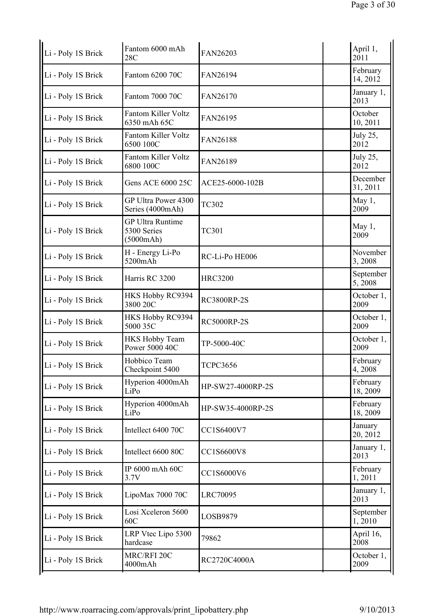| Fantom 6000 mAh<br>28C                              | FAN26203           | April 1,<br>2011     |
|-----------------------------------------------------|--------------------|----------------------|
| Fantom 6200 70C                                     | FAN26194           | February<br>14, 2012 |
| Fantom 7000 70C                                     | FAN26170           | January 1,<br>2013   |
| <b>Fantom Killer Voltz</b><br>6350 mAh 65C          | FAN26195           | October<br>10, 2011  |
| <b>Fantom Killer Voltz</b><br>6500 100C             | FAN26188           | July 25,<br>2012     |
| <b>Fantom Killer Voltz</b><br>6800 100C             | FAN26189           | July 25,<br>2012     |
| Gens ACE 6000 25C                                   | ACE25-6000-102B    | December<br>31, 2011 |
| GP Ultra Power 4300<br>Series (4000mAh)             | <b>TC302</b>       | May 1,<br>2009       |
| <b>GP Ultra Runtime</b><br>5300 Series<br>(5000mAh) | <b>TC301</b>       | May 1,<br>2009       |
| H - Energy Li-Po<br>5200mAh                         | RC-Li-Po HE006     | November<br>3,2008   |
| Harris RC 3200                                      | <b>HRC3200</b>     | September<br>5,2008  |
| HKS Hobby RC9394<br>3800 20C                        | <b>RC3800RP-2S</b> | October 1,<br>2009   |
| HKS Hobby RC9394<br>5000 35C                        | <b>RC5000RP-2S</b> | October 1,<br>2009   |
| <b>HKS Hobby Team</b><br>Power 5000 40C             | TP-5000-40C        | October 1,<br>2009   |
| Hobbico Team<br>Checkpoint 5400                     | <b>TCPC3656</b>    | February<br>4, 2008  |
| Hyperion 4000mAh<br>LiPo                            | HP-SW27-4000RP-2S  | February<br>18, 2009 |
| Hyperion 4000mAh<br>LiPo                            | HP-SW35-4000RP-2S  | February<br>18, 2009 |
| Intellect 6400 70C                                  | CC1S6400V7         | January<br>20, 2012  |
| Intellect 6600 80C                                  | CC1S6600V8         | January 1,<br>2013   |
| IP 6000 mAh 60C<br>3.7V                             | CC1S6000V6         | February<br>1,2011   |
| LipoMax 7000 70C                                    | <b>LRC70095</b>    | January 1,<br>2013   |
| Losi Xceleron 5600<br>60C                           | LOSB9879           | September<br>1,2010  |
| LRP Vtec Lipo 5300<br>hardcase                      | 79862              | April 16,<br>2008    |
| MRC/RFI 20C<br>4000mAh                              | RC2720C4000A       | October 1,<br>2009   |
|                                                     |                    |                      |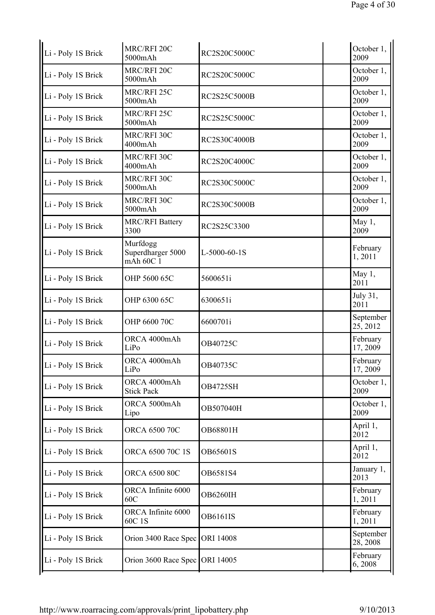| Li - Poly 1S Brick | MRC/RFI 20C<br>5000mAh                     | RC2S20C5000C     | October 1,<br>2009    |
|--------------------|--------------------------------------------|------------------|-----------------------|
| Li - Poly 1S Brick | MRC/RFI 20C<br>5000mAh                     | RC2S20C5000C     | October 1,<br>2009    |
| Li - Poly 1S Brick | MRC/RFI 25C<br>5000mAh                     | RC2S25C5000B     | October 1,<br>2009    |
| Li - Poly 1S Brick | MRC/RFI 25C<br>5000mAh                     | RC2S25C5000C     | October 1,<br>2009    |
| Li - Poly 1S Brick | MRC/RFI 30C<br>4000mAh                     | RC2S30C4000B     | October 1,<br>2009    |
| Li - Poly 1S Brick | MRC/RFI 30C<br>4000mAh                     | RC2S20C4000C     | October 1,<br>2009    |
| Li - Poly 1S Brick | MRC/RFI 30C<br>5000mAh                     | RC2S30C5000C     | October 1,<br>2009    |
| Li - Poly 1S Brick | MRC/RFI 30C<br>5000mAh                     | RC2S30C5000B     | October 1,<br>2009    |
| Li - Poly 1S Brick | <b>MRC/RFI Battery</b><br>3300             | RC2S25C3300      | May 1,<br>2009        |
| Li - Poly 1S Brick | Murfdogg<br>Superdharger 5000<br>mAh 60C 1 | $L-5000-60-1S$   | February<br>1,2011    |
| Li - Poly 1S Brick | OHP 5600 65C                               | 5600651i         | May 1,<br>2011        |
| Li - Poly 1S Brick | OHP 6300 65C                               | 6300651i         | July 31,<br>2011      |
| Li - Poly 1S Brick | OHP 6600 70C                               | 6600701i         | September<br>25, 2012 |
| Li - Poly 1S Brick | ORCA 4000mAh<br>LiPo                       | OB40725C         | February<br>17, 2009  |
| Li - Poly 1S Brick | ORCA 4000mAh<br>LiPo                       | OB40735C         | February<br>17, 2009  |
| Li - Poly 1S Brick | ORCA 4000mAh<br><b>Stick Pack</b>          | <b>OB4725SH</b>  | October 1,<br>2009    |
| Li - Poly 1S Brick | ORCA 5000mAh<br>Lipo                       | OB507040H        | October 1,<br>2009    |
| Li - Poly 1S Brick | ORCA 6500 70C                              | OB68801H         | April 1,<br>2012      |
| Li - Poly 1S Brick | ORCA 6500 70C 1S                           | OB65601S         | April 1,<br>2012      |
| Li - Poly 1S Brick | ORCA 6500 80C                              | OB6581S4         | January 1,<br>2013    |
| Li - Poly 1S Brick | ORCA Infinite 6000<br>60C                  | <b>OB6260IH</b>  | February<br>1,2011    |
| Li - Poly 1S Brick | ORCA Infinite 6000<br>60C 1S               | <b>OB6161IS</b>  | February<br>1,2011    |
| Li - Poly 1S Brick | Orion 3400 Race Spec                       | ORI 14008        | September<br>28, 2008 |
| Li - Poly 1S Brick | Orion 3600 Race Spec                       | <b>ORI 14005</b> | February<br>6,2008    |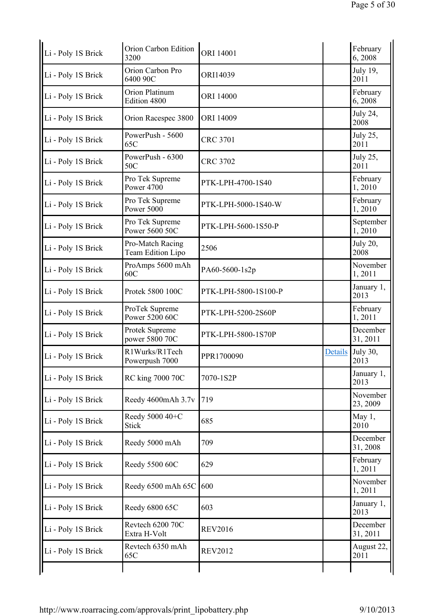| Li - Poly 1S Brick | Orion Carbon Edition<br>3200          | ORI 14001            |         | February<br>6,2008      |
|--------------------|---------------------------------------|----------------------|---------|-------------------------|
| Li - Poly 1S Brick | Orion Carbon Pro<br>6400 90C          | ORI14039             |         | July 19,<br>2011        |
| Li - Poly 1S Brick | Orion Platinum<br>Edition 4800        | ORI 14000            |         | February<br>6,2008      |
| Li - Poly 1S Brick | Orion Racespec 3800                   | ORI 14009            |         | July 24,<br>2008        |
| Li - Poly 1S Brick | PowerPush - 5600<br>65C               | <b>CRC 3701</b>      |         | July 25,<br>2011        |
| Li - Poly 1S Brick | PowerPush - 6300<br>50C               | <b>CRC 3702</b>      |         | July 25,<br>2011        |
| Li - Poly 1S Brick | Pro Tek Supreme<br><b>Power 4700</b>  | PTK-LPH-4700-1S40    |         | February<br>1,2010      |
| Li - Poly 1S Brick | Pro Tek Supreme<br>Power 5000         | PTK-LPH-5000-1S40-W  |         | February<br>1,2010      |
| Li - Poly 1S Brick | Pro Tek Supreme<br>Power 5600 50C     | PTK-LPH-5600-1S50-P  |         | September<br>1,2010     |
| Li - Poly 1S Brick | Pro-Match Racing<br>Team Edition Lipo | 2506                 |         | <b>July 20,</b><br>2008 |
| Li - Poly 1S Brick | ProAmps 5600 mAh<br>60C               | PA60-5600-1s2p       |         | November<br>1,2011      |
| Li - Poly 1S Brick | Protek 5800 100C                      | PTK-LPH-5800-1S100-P |         | January 1,<br>2013      |
| Li - Poly 1S Brick | ProTek Supreme<br>Power 5200 60C      | PTK-LPH-5200-2S60P   |         | February<br>1,2011      |
| Li - Poly 1S Brick | Protek Supreme<br>power 5800 70C      | PTK-LPH-5800-1S70P   |         | December<br>31, 2011    |
| Li - Poly 1S Brick | R1Wurks/R1Tech<br>Powerpush 7000      | PPR1700090           | Details | July 30,<br>2013        |
| Li - Poly 1S Brick | RC king 7000 70C                      | 7070-1S2P            |         | January 1,<br>2013      |
| Li - Poly 1S Brick | Reedy 4600mAh 3.7v                    | 719                  |         | November<br>23, 2009    |
| Li - Poly 1S Brick | Reedy 5000 40+C<br><b>Stick</b>       | 685                  |         | May $1,$<br>2010        |
| Li - Poly 1S Brick | Reedy 5000 mAh                        | 709                  |         | December<br>31, 2008    |
| Li - Poly 1S Brick | Reedy 5500 60C                        | 629                  |         | February<br>1,2011      |
| Li - Poly 1S Brick | Reedy 6500 mAh 65C                    | 600                  |         | November<br>1,2011      |
| Li - Poly 1S Brick | Reedy 6800 65C                        | 603                  |         | January 1,<br>2013      |
| Li - Poly 1S Brick | Revtech 6200 70C<br>Extra H-Volt      | <b>REV2016</b>       |         | December<br>31, 2011    |
| Li - Poly 1S Brick | Revtech 6350 mAh<br>65C               | <b>REV2012</b>       |         | August 22,<br>2011      |
|                    |                                       |                      |         |                         |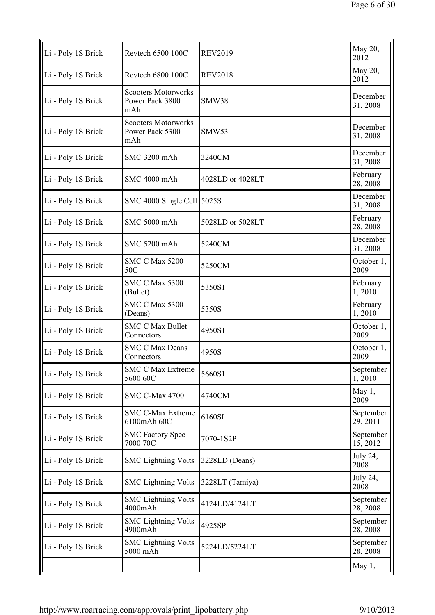| Li - Poly 1S Brick | Revtech 6500 100C                                    | <b>REV2019</b>   | May 20,<br>2012       |
|--------------------|------------------------------------------------------|------------------|-----------------------|
| Li - Poly 1S Brick | Revtech 6800 100C                                    | <b>REV2018</b>   | May 20,<br>2012       |
| Li - Poly 1S Brick | <b>Scooters Motorworks</b><br>Power Pack 3800<br>mAh | SMW38            | December<br>31, 2008  |
| Li - Poly 1S Brick | <b>Scooters Motorworks</b><br>Power Pack 5300<br>mAh | <b>SMW53</b>     | December<br>31, 2008  |
| Li - Poly 1S Brick | SMC 3200 mAh                                         | 3240CM           | December<br>31, 2008  |
| Li - Poly 1S Brick | SMC 4000 mAh                                         | 4028LD or 4028LT | February<br>28, 2008  |
| Li - Poly 1S Brick | SMC 4000 Single Cell 5025S                           |                  | December<br>31, 2008  |
| Li - Poly 1S Brick | SMC 5000 mAh                                         | 5028LD or 5028LT | February<br>28, 2008  |
| Li - Poly 1S Brick | SMC 5200 mAh                                         | 5240CM           | December<br>31, 2008  |
| Li - Poly 1S Brick | <b>SMC C Max 5200</b><br>50C                         | 5250CM           | October 1,<br>2009    |
| Li - Poly 1S Brick | SMC C Max 5300<br>(Bullet)                           | 5350S1           | February<br>1,2010    |
| Li - Poly 1S Brick | <b>SMC C Max 5300</b><br>(Deans)                     | 5350S            | February<br>1,2010    |
| Li - Poly 1S Brick | <b>SMC C Max Bullet</b><br>Connectors                | 4950S1           | October 1,<br>2009    |
| Li - Poly 1S Brick | <b>SMC C Max Deans</b><br>Connectors                 | 4950S            | October 1,<br>2009    |
| Li - Poly 1S Brick | <b>SMC C Max Extreme</b><br>5600 60C                 | 5660S1           | September  <br>1,2010 |
| Li - Poly 1S Brick | SMC C-Max 4700                                       | 4740CM           | May 1,<br>2009        |
| Li - Poly 1S Brick | <b>SMC C-Max Extreme</b><br>6100mAh 60C              | 6160SI           | September<br>29, 2011 |
| Li - Poly 1S Brick | <b>SMC Factory Spec</b><br>7000 70C                  | 7070-1S2P        | September<br>15, 2012 |
| Li - Poly 1S Brick | <b>SMC Lightning Volts</b>                           | 3228LD (Deans)   | July 24,<br>2008      |
| Li - Poly 1S Brick | <b>SMC Lightning Volts</b>                           | 3228LT (Tamiya)  | July 24,<br>2008      |
| Li - Poly 1S Brick | <b>SMC Lightning Volts</b><br>4000mAh                | 4124LD/4124LT    | September<br>28, 2008 |
| Li - Poly 1S Brick | <b>SMC Lightning Volts</b><br>4900mAh                | 4925SP           | September<br>28, 2008 |
| Li - Poly 1S Brick | <b>SMC Lightning Volts</b><br>5000 mAh               | 5224LD/5224LT    | September<br>28, 2008 |
|                    |                                                      |                  | May 1,                |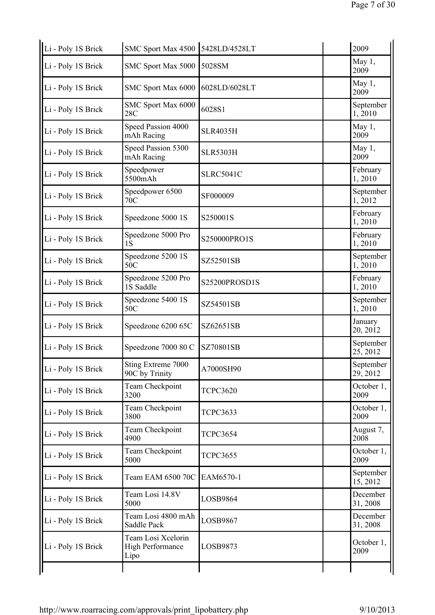| Li - Poly 1S Brick | SMC Sport Max 4500 5428LD/4528LT                      |                  | 2009                  |
|--------------------|-------------------------------------------------------|------------------|-----------------------|
| Li - Poly 1S Brick | SMC Sport Max 5000                                    | 5028SM           | May 1,<br>2009        |
| Li - Poly 1S Brick | SMC Sport Max 6000                                    | 6028LD/6028LT    | May 1,<br>2009        |
| Li - Poly 1S Brick | SMC Sport Max 6000<br>28C                             | 6028S1           | September<br>1, 2010  |
| Li - Poly 1S Brick | Speed Passion 4000<br>mAh Racing                      | <b>SLR4035H</b>  | May 1,<br>2009        |
| Li - Poly 1S Brick | Speed Passion 5300<br>mAh Racing                      | <b>SLR5303H</b>  | May 1,<br>2009        |
| Li - Poly 1S Brick | Speedpower<br>5500mAh                                 | <b>SLRC5041C</b> | February<br>1,2010    |
| Li - Poly 1S Brick | Speedpower 6500<br>70C                                | SF000009         | September<br>1,2012   |
| Li - Poly 1S Brick | Speedzone 5000 1S                                     | S250001S         | February<br>1,2010    |
| Li - Poly 1S Brick | Speedzone 5000 Pro<br>1S                              | S250000PRO1S     | February<br>1,2010    |
| Li - Poly 1S Brick | Speedzone 5200 1S<br>50C                              | SZ52501SB        | September<br>1,2010   |
| Li - Poly 1S Brick | Speedzone 5200 Pro<br>1S Saddle                       | S25200PROSD1S    | February<br>1,2010    |
| Li - Poly 1S Brick | Speedzone 5400 1S<br>50C                              | SZ54501SB        | September<br>1,2010   |
| Li - Poly 1S Brick | Speedzone 6200 65C                                    | SZ62651SB        | January<br>20, 2012   |
| Li - Poly 1S Brick | Speedzone 7000 80 C                                   | SZ70801SB        | September<br>25, 2012 |
| Li - Poly 1S Brick | Sting Extreme 7000<br>90C by Trinity                  | A7000SH90        | September<br>29, 2012 |
| Li - Poly 1S Brick | Team Checkpoint<br>3200                               | <b>TCPC3620</b>  | October 1,<br>2009    |
| Li - Poly 1S Brick | Team Checkpoint<br>3800                               | <b>TCPC3633</b>  | October 1,<br>2009    |
| Li - Poly 1S Brick | Team Checkpoint<br>4900                               | <b>TCPC3654</b>  | August 7,<br>2008     |
| Li - Poly 1S Brick | Team Checkpoint<br>5000                               | <b>TCPC3655</b>  | October 1,<br>2009    |
| Li - Poly 1S Brick | Team EAM 6500 70C                                     | EAM6570-1        | September<br>15, 2012 |
| Li - Poly 1S Brick | Team Losi 14.8V<br>5000                               | LOSB9864         | December<br>31, 2008  |
| Li - Poly 1S Brick | Team Losi 4800 mAh<br>Saddle Pack                     | LOSB9867         | December<br>31, 2008  |
| Li - Poly 1S Brick | Team Losi Xcelorin<br><b>High Performance</b><br>Lipo | LOSB9873         | October 1,<br>2009    |
|                    |                                                       |                  |                       |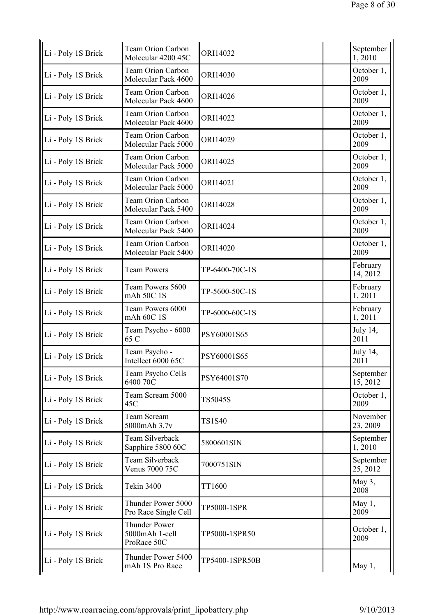| Li - Poly 1S Brick | <b>Team Orion Carbon</b><br>Molecular 4200 45C        | ORI14032       | September<br>1,2010   |
|--------------------|-------------------------------------------------------|----------------|-----------------------|
| Li - Poly 1S Brick | <b>Team Orion Carbon</b><br>Molecular Pack 4600       | ORI14030       | October 1,<br>2009    |
| Li - Poly 1S Brick | <b>Team Orion Carbon</b><br>Molecular Pack 4600       | ORI14026       | October 1,<br>2009    |
| Li - Poly 1S Brick | <b>Team Orion Carbon</b><br>Molecular Pack 4600       | ORI14022       | October 1,<br>2009    |
| Li - Poly 1S Brick | <b>Team Orion Carbon</b><br>Molecular Pack 5000       | ORI14029       | October 1,<br>2009    |
| Li - Poly 1S Brick | <b>Team Orion Carbon</b><br>Molecular Pack 5000       | ORI14025       | October 1,<br>2009    |
| Li - Poly 1S Brick | Team Orion Carbon<br>Molecular Pack 5000              | ORI14021       | October 1,<br>2009    |
| Li - Poly 1S Brick | Team Orion Carbon<br>Molecular Pack 5400              | ORI14028       | October 1,<br>2009    |
| Li - Poly 1S Brick | <b>Team Orion Carbon</b><br>Molecular Pack 5400       | ORI14024       | October 1,<br>2009    |
| Li - Poly 1S Brick | <b>Team Orion Carbon</b><br>Molecular Pack 5400       | ORI14020       | October 1,<br>2009    |
| Li - Poly 1S Brick | <b>Team Powers</b>                                    | TP-6400-70C-1S | February<br>14, 2012  |
| Li - Poly 1S Brick | Team Powers 5600<br>mAh 50C 1S                        | TP-5600-50C-1S | February<br>1,2011    |
| Li - Poly 1S Brick | Team Powers 6000<br>mAh 60C 1S                        | TP-6000-60C-1S | February<br>1,2011    |
| Li - Poly 1S Brick | Team Psycho - 6000<br>65 C                            | PSY60001S65    | July 14,<br>2011      |
| Li - Poly 1S Brick | Team Psycho -<br>Intellect 6000 65C                   | PSY60001S65    | July 14,<br>2011      |
| Li - Poly 1S Brick | Team Psycho Cells<br>6400 70C                         | PSY64001S70    | September<br>15, 2012 |
| Li - Poly 1S Brick | Team Scream 5000<br>45C                               | TS5045S        | October 1,<br>2009    |
| Li - Poly 1S Brick | Team Scream<br>5000mAh 3.7v                           | <b>TS1S40</b>  | November<br>23, 2009  |
| Li - Poly 1S Brick | Team Silverback<br>Sapphire 5800 60C                  | 5800601SIN     | September<br>1,2010   |
| Li - Poly 1S Brick | Team Silverback<br>Venus 7000 75C                     | 7000751SIN     | September<br>25, 2012 |
| Li - Poly 1S Brick | <b>Tekin 3400</b>                                     | TT1600         | May 3,<br>2008        |
| Li - Poly 1S Brick | Thunder Power 5000<br>Pro Race Single Cell            | TP5000-1SPR    | May 1,<br>2009        |
| Li - Poly 1S Brick | <b>Thunder Power</b><br>5000mAh 1-cell<br>ProRace 50C | TP5000-1SPR50  | October 1,<br>2009    |
| Li - Poly 1S Brick | Thunder Power 5400<br>mAh 1S Pro Race                 | TP5400-1SPR50B | May 1,                |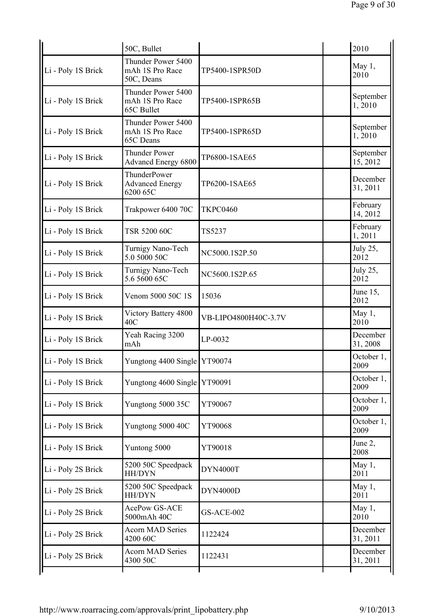|                    | 50C, Bullet                                         |                      | 2010                  |
|--------------------|-----------------------------------------------------|----------------------|-----------------------|
| Li - Poly 1S Brick | Thunder Power 5400<br>mAh 1S Pro Race<br>50C, Deans | TP5400-1SPR50D       | May 1,<br>2010        |
| Li - Poly 1S Brick | Thunder Power 5400<br>mAh 1S Pro Race<br>65C Bullet | TP5400-1SPR65B       | September<br>1,2010   |
| Li - Poly 1S Brick | Thunder Power 5400<br>mAh 1S Pro Race<br>65C Deans  | TP5400-1SPR65D       | September<br>1,2010   |
| Li - Poly 1S Brick | <b>Thunder Power</b><br><b>Advancd Energy 6800</b>  | TP6800-1SAE65        | September<br>15, 2012 |
| Li - Poly 1S Brick | ThunderPower<br><b>Advanced Energy</b><br>6200 65C  | TP6200-1SAE65        | December<br>31, 2011  |
| Li - Poly 1S Brick | Trakpower 6400 70C                                  | <b>TKPC0460</b>      | February<br>14, 2012  |
| Li - Poly 1S Brick | TSR 5200 60C                                        | TS5237               | February<br>1,2011    |
| Li - Poly 1S Brick | Turnigy Nano-Tech<br>5.0 5000 50C                   | NC5000.1S2P.50       | July 25,<br>2012      |
| Li - Poly 1S Brick | Turnigy Nano-Tech<br>5.6 5600 65C                   | NC5600.1S2P.65       | July 25,<br>2012      |
| Li - Poly 1S Brick | Venom 5000 50C 1S                                   | 15036                | June 15,<br>2012      |
| Li - Poly 1S Brick | Victory Battery 4800<br>40C                         | VB-LIPO4800H40C-3.7V | May $1,$<br>2010      |
| Li - Poly 1S Brick | Yeah Racing 3200<br>mAh                             | LP-0032              | December<br>31, 2008  |
| Li - Poly 1S Brick | Yungtong 4400 Single YT90074                        |                      | October 1,<br>2009    |
| Li - Poly 1S Brick | Yungtong 4600 Single YT90091                        |                      | October 1,<br>2009    |
| Li - Poly 1S Brick | Yungtong 5000 35C                                   | YT90067              | October 1,<br>2009    |
| Li - Poly 1S Brick | Yungtong 5000 40C                                   | YT90068              | October 1,<br>2009    |
| Li - Poly 1S Brick | Yuntong 5000                                        | YT90018              | June 2,<br>2008       |
| Li - Poly 2S Brick | 5200 50C Speedpack<br>HH/DYN                        | DYN4000T             | May 1,<br>2011        |
| Li - Poly 2S Brick | 5200 50C Speedpack<br>HH/DYN                        | DYN4000D             | May 1,<br>2011        |
| Li - Poly 2S Brick | AcePow GS-ACE<br>5000mAh 40C                        | <b>GS-ACE-002</b>    | May 1,<br>2010        |
| Li - Poly 2S Brick | <b>Acorn MAD Series</b><br>4200 60C                 | 1122424              | December<br>31, 2011  |
| Li - Poly 2S Brick | <b>Acorn MAD Series</b><br>4300 50C                 | 1122431              | December<br>31, 2011  |
|                    |                                                     |                      |                       |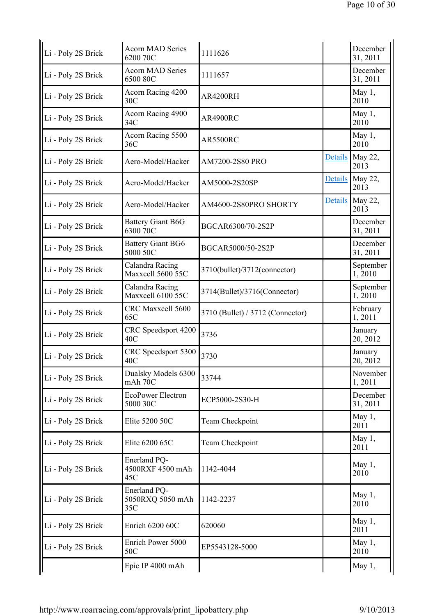| Li - Poly 2S Brick | <b>Acorn MAD Series</b><br>6200 70C     | 1111626                          |                | December<br>31, 2011      |
|--------------------|-----------------------------------------|----------------------------------|----------------|---------------------------|
| Li - Poly 2S Brick | <b>Acorn MAD Series</b><br>6500 80C     | 1111657                          |                | December<br>31, 2011      |
| Li - Poly 2S Brick | Acorn Racing 4200<br>30 <sub>C</sub>    | AR4200RH                         |                | May 1,<br>2010            |
| Li - Poly 2S Brick | Acorn Racing 4900<br>34C                | <b>AR4900RC</b>                  |                | May 1,<br>2010            |
| Li - Poly 2S Brick | Acorn Racing 5500<br>36C                | <b>AR5500RC</b>                  |                | May 1,<br>2010            |
| Li - Poly 2S Brick | Aero-Model/Hacker                       | AM7200-2S80 PRO                  |                | Details May 22,<br>2013   |
| Li - Poly 2S Brick | Aero-Model/Hacker                       | AM5000-2S20SP                    |                | Details   May 22,<br>2013 |
| Li - Poly 2S Brick | Aero-Model/Hacker                       | AM4600-2S80PRO SHORTY            | <b>Details</b> | May 22,<br>2013           |
| Li - Poly 2S Brick | <b>Battery Giant B6G</b><br>6300 70C    | BGCAR6300/70-2S2P                |                | December<br>31, 2011      |
| Li - Poly 2S Brick | <b>Battery Giant BG6</b><br>5000 50C    | BGCAR5000/50-2S2P                |                | December<br>31, 2011      |
| Li - Poly 2S Brick | Calandra Racing<br>Maxxcell 5600 55C    | 3710(bullet)/3712(connector)     |                | September<br>1,2010       |
| Li - Poly 2S Brick | Calandra Racing<br>Maxxcell 6100 55C    | 3714(Bullet)/3716(Connector)     |                | September<br>1,2010       |
| Li - Poly 2S Brick | CRC Maxxcell 5600<br>65C                | 3710 (Bullet) / 3712 (Connector) |                | February<br>1,2011        |
| Li - Poly 2S Brick | CRC Speedsport 4200<br>40C              | 3736                             |                | January<br>20, 2012       |
| Li - Poly 2S Brick | CRC Speedsport 5300<br>40C              | 3730                             |                | January<br>20, 2012       |
| Li - Poly 2S Brick | Dualsky Models 6300<br>mAh 70C          | 33744                            |                | November<br>1,2011        |
| Li - Poly 2S Brick | <b>EcoPower Electron</b><br>5000 30C    | ECP5000-2S30-H                   |                | December<br>31, 2011      |
| Li - Poly 2S Brick | Elite 5200 50C                          | Team Checkpoint                  |                | May 1,<br>2011            |
| Li - Poly 2S Brick | Elite 6200 65C                          | Team Checkpoint                  |                | May 1,<br>2011            |
| Li - Poly 2S Brick | Enerland PQ-<br>4500RXF 4500 mAh<br>45C | 1142-4044                        |                | May $1,$<br>2010          |
| Li - Poly 2S Brick | Enerland PQ-<br>5050RXQ 5050 mAh<br>35C | 1142-2237                        |                | May 1,<br>2010            |
| Li - Poly 2S Brick | Enrich 6200 60C                         | 620060                           |                | May $1,$<br>2011          |
| Li - Poly 2S Brick | Enrich Power 5000<br>50C                | EP5543128-5000                   |                | May 1,<br>2010            |
|                    | Epic IP 4000 mAh                        |                                  |                | May 1,                    |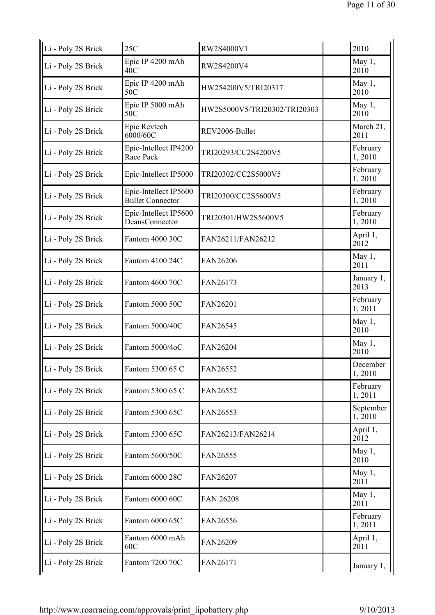| Li - Poly 2S Brick | 25C                                              | RW2S4000V1                   | 2010                |
|--------------------|--------------------------------------------------|------------------------------|---------------------|
| Li - Poly 2S Brick | Epic IP 4200 mAh<br>40 <sup>C</sup>              | RW2S4200V4                   | May 1,<br>2010      |
| Li - Poly 2S Brick | Epic IP 4200 mAh<br>50C                          | HW254200V5/TRI20317          | May 1,<br>2010      |
| Li - Poly 2S Brick | Epic IP 5000 mAh<br>50C                          | HW2S5000V5/TRI20302/TRI20303 | May 1,<br>2010      |
| Li - Poly 2S Brick | Epic Revtech<br>6000/60C                         | REV2006-Bullet               | March 21,<br>2011   |
| Li - Poly 2S Brick | Epic-Intellect IP4200<br>Race Pack               | TRI20293/CC2S4200V5          | February<br>1,2010  |
| Li - Poly 2S Brick | Epic-Intellect IP5000                            | TRI20302/CC2S5000V5          | February<br>1,2010  |
| Li - Poly 2S Brick | Epic-Intellect IP5600<br><b>Bullet Connector</b> | TRI20300/CC2S5600V5          | February<br>1,2010  |
| Li - Poly 2S Brick | Epic-Intellect IP5600<br>DeansConnector          | TRI20301/HW2S5600V5          | February<br>1,2010  |
| Li - Poly 2S Brick | Fantom 4000 30C                                  | FAN26211/FAN26212            | April 1,<br>2012    |
| Li - Poly 2S Brick | Fantom 4100 24C                                  | FAN26206                     | May 1,<br>2011      |
| Li - Poly 2S Brick | Fantom 4600 70C                                  | FAN26173                     | January 1,<br>2013  |
| Li - Poly 2S Brick | Fantom 5000 50C                                  | FAN26201                     | February<br>1,2011  |
| Li - Poly 2S Brick | Fantom 5000/40C                                  | FAN26545                     | May 1,<br>2010      |
| Li - Poly 2S Brick | Fantom 5000/4oC                                  | FAN26204                     | May 1,<br>2010      |
| Li - Poly 2S Brick | Fantom 5300 65 C                                 | FAN26552                     | December<br>1,2010  |
| Li - Poly 2S Brick | Fantom 5300 65 C                                 | FAN26552                     | February<br>1,2011  |
| Li - Poly 2S Brick | Fantom 5300 65C                                  | FAN26553                     | September<br>1,2010 |
| Li - Poly 2S Brick | Fantom 5300 65C                                  | FAN26213/FAN26214            | April 1,<br>2012    |
| Li - Poly 2S Brick | Fantom 5600/50C                                  | FAN26555                     | May 1,<br>2010      |
| Li - Poly 2S Brick | Fantom 6000 28C                                  | FAN26207                     | May 1,<br>2011      |
| Li - Poly 2S Brick | Fantom 6000 60C                                  | <b>FAN 26208</b>             | May 1,<br>2011      |
| Li - Poly 2S Brick | Fantom 6000 65C                                  | FAN26556                     | February<br>1,2011  |
| Li - Poly 2S Brick | Fantom 6000 mAh<br>60C                           | FAN26209                     | April 1,<br>2011    |
| Li - Poly 2S Brick | Fantom 7200 70C                                  | FAN26171                     | January 1,          |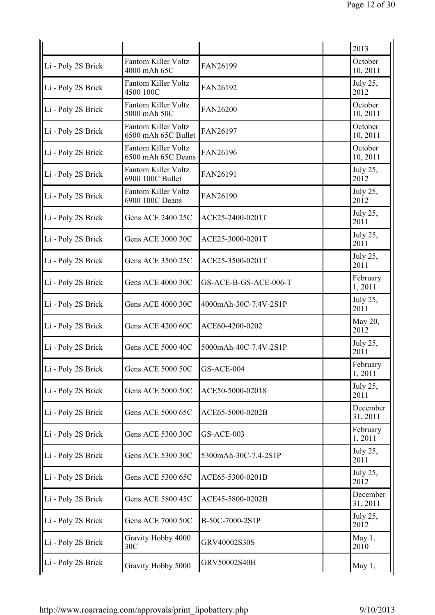|                    |                                                  |                       | 2013                 |
|--------------------|--------------------------------------------------|-----------------------|----------------------|
| Li - Poly 2S Brick | <b>Fantom Killer Voltz</b><br>4000 mAh 65C       | FAN26199              | October<br>10, 2011  |
| Li - Poly 2S Brick | <b>Fantom Killer Voltz</b><br>4500 100C          | FAN26192              | July 25,<br>2012     |
| Li - Poly 2S Brick | <b>Fantom Killer Voltz</b><br>5000 mAh 50C       | FAN26200              | October<br>10, 2011  |
| Li - Poly 2S Brick | Fantom Killer Voltz<br>6500 mAh 65C Bullet       | FAN26197              | October<br>10, 2011  |
| Li - Poly 2S Brick | <b>Fantom Killer Voltz</b><br>6500 mAh 65C Deans | FAN26196              | October<br>10, 2011  |
| Li - Poly 2S Brick | <b>Fantom Killer Voltz</b><br>6900 100C Bullet   | FAN26191              | July 25,<br>2012     |
| Li - Poly 2S Brick | Fantom Killer Voltz<br>6900 100C Deans           | FAN26190              | July 25,<br>2012     |
| Li - Poly 2S Brick | <b>Gens ACE 2400 25C</b>                         | ACE25-2400-0201T      | July 25,<br>2011     |
| Li - Poly 2S Brick | Gens ACE 3000 30C                                | ACE25-3000-0201T      | July 25,<br>2011     |
| Li - Poly 2S Brick | Gens ACE 3500 25C                                | ACE25-3500-0201T      | July 25,<br>2011     |
| Li - Poly 2S Brick | <b>Gens ACE 4000 30C</b>                         | GS-ACE-B-GS-ACE-006-T | February<br>1,2011   |
| Li - Poly 2S Brick | <b>Gens ACE 4000 30C</b>                         | 4000mAh-30C-7.4V-2S1P | July 25,<br>2011     |
| Li - Poly 2S Brick | Gens ACE 4200 60C                                | ACE60-4200-0202       | May 20,<br>2012      |
| Li - Poly 2S Brick | <b>Gens ACE 5000 40C</b>                         | 5000mAh-40C-7.4V-2S1P | July 25,<br>2011     |
| Li - Poly 2S Brick | Gens ACE 5000 50C                                | GS-ACE-004            | February<br>1,2011   |
| Li - Poly 2S Brick | Gens ACE 5000 50C                                | ACE50-5000-02018      | July 25,<br>2011     |
| Li - Poly 2S Brick | Gens ACE 5000 65C                                | ACE65-5000-0202B      | December<br>31, 2011 |
| Li - Poly 2S Brick | Gens ACE 5300 30C                                | GS-ACE-003            | February<br>1,2011   |
| Li - Poly 2S Brick | Gens ACE 5300 30C                                | 5300mAh-30C-7.4-2S1P  | July 25,<br>2011     |
| Li - Poly 2S Brick | Gens ACE 5300 65C                                | ACE65-5300-0201B      | July 25,<br>2012     |
| Li - Poly 2S Brick | Gens ACE 5800 45C                                | ACE45-5800-0202B      | December<br>31, 2011 |
| Li - Poly 2S Brick | Gens ACE 7000 50C                                | B-50C-7000-2S1P       | July 25,<br>2012     |
| Li - Poly 2S Brick | Gravity Hobby 4000<br>30C                        | GRV40002S30S          | May $1,$<br>2010     |
| Li - Poly 2S Brick | Gravity Hobby 5000                               | GRV50002S40H          | May 1,               |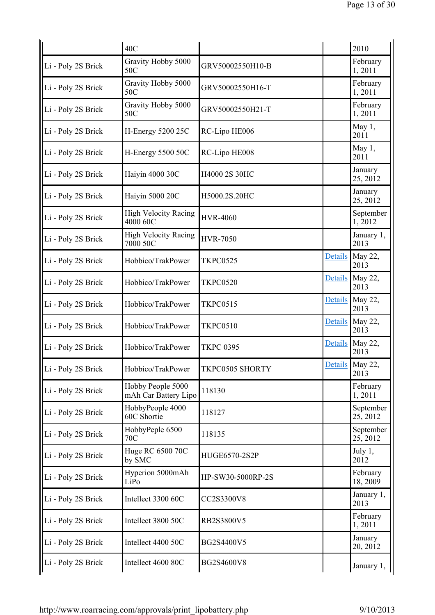|                    | 40C                                       |                   |                | 2010                    |
|--------------------|-------------------------------------------|-------------------|----------------|-------------------------|
| Li - Poly 2S Brick | Gravity Hobby 5000<br>50C                 | GRV50002550H10-B  |                | February<br>1,2011      |
| Li - Poly 2S Brick | Gravity Hobby 5000<br>50C                 | GRV50002550H16-T  |                | February<br>1,2011      |
| Li - Poly 2S Brick | Gravity Hobby 5000<br>50C                 | GRV50002550H21-T  |                | February<br>1,2011      |
| Li - Poly 2S Brick | <b>H-Energy 5200 25C</b>                  | RC-Lipo HE006     |                | May 1,<br>2011          |
| Li - Poly 2S Brick | <b>H-Energy 5500 50C</b>                  | RC-Lipo HE008     |                | May 1,<br>2011          |
| Li - Poly 2S Brick | Haiyin 4000 30C                           | H4000 2S 30HC     |                | January<br>25, 2012     |
| Li - Poly 2S Brick | Haiyin 5000 20C                           | H5000.2S.20HC     |                | January<br>25, 2012     |
| Li - Poly 2S Brick | <b>High Velocity Racing</b><br>4000 60C   | <b>HVR-4060</b>   |                | September<br>1,2012     |
| Li - Poly 2S Brick | <b>High Velocity Racing</b><br>7000 50C   | <b>HVR-7050</b>   |                | January 1,<br>2013      |
| Li - Poly 2S Brick | Hobbico/TrakPower                         | <b>TKPC0525</b>   | <b>Details</b> | May 22,<br>2013         |
| Li - Poly 2S Brick | Hobbico/TrakPower                         | <b>TKPC0520</b>   | <b>Details</b> | May 22,<br>2013         |
| Li - Poly 2S Brick | Hobbico/TrakPower                         | <b>TKPC0515</b>   | Details        | May 22,<br>2013         |
| Li - Poly 2S Brick | Hobbico/TrakPower                         | <b>TKPC0510</b>   | <b>Details</b> | May 22,<br>2013         |
| Li - Poly 2S Brick | Hobbico/TrakPower                         | <b>TKPC 0395</b>  | <b>Details</b> | May 22,<br>2013         |
| Li - Poly 2S Brick | Hobbico/TrakPower                         | TKPC0505 SHORTY   |                | Details May 22,<br>2013 |
| Li - Poly 2S Brick | Hobby People 5000<br>mAh Car Battery Lipo | 118130            |                | February<br>1,2011      |
| Li - Poly 2S Brick | HobbyPeople 4000<br>60C Shortie           | 118127            |                | September<br>25, 2012   |
| Li - Poly 2S Brick | HobbyPeple 6500<br>70C                    | 118135            |                | September<br>25, 2012   |
| Li - Poly 2S Brick | Huge RC 6500 70C<br>by SMC                | HUGE6570-2S2P     |                | July 1,<br>2012         |
| Li - Poly 2S Brick | Hyperion 5000mAh<br>LiPo                  | HP-SW30-5000RP-2S |                | February<br>18, 2009    |
| Li - Poly 2S Brick | Intellect 3300 60C                        | CC2S3300V8        |                | January 1,<br>2013      |
| Li - Poly 2S Brick | Intellect 3800 50C                        | RB2S3800V5        |                | February<br>1,2011      |
| Li - Poly 2S Brick | Intellect 4400 50C                        | BG2S4400V5        |                | January<br>20, 2012     |
| Li - Poly 2S Brick | Intellect 4600 80C                        | BG2S4600V8        |                | January 1,              |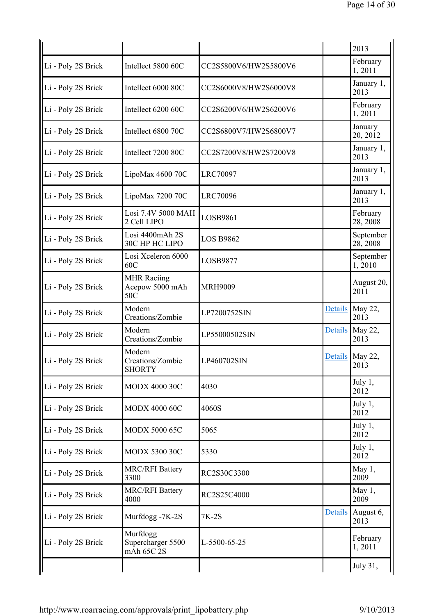|                    |                                              |                       |                | 2013                  |
|--------------------|----------------------------------------------|-----------------------|----------------|-----------------------|
| Li - Poly 2S Brick | Intellect 5800 60C                           | CC2S5800V6/HW2S5800V6 |                | February<br>1,2011    |
| Li - Poly 2S Brick | Intellect 6000 80C                           | CC2S6000V8/HW2S6000V8 |                | January 1,<br>2013    |
| Li - Poly 2S Brick | Intellect 6200 60C                           | CC2S6200V6/HW2S6200V6 |                | February<br>1,2011    |
| Li - Poly 2S Brick | Intellect 6800 70C                           | CC2S6800V7/HW2S6800V7 |                | January<br>20, 2012   |
| Li - Poly 2S Brick | Intellect 7200 80C                           | CC2S7200V8/HW2S7200V8 |                | January 1,<br>2013    |
| Li - Poly 2S Brick | LipoMax 4600 70C                             | <b>LRC70097</b>       |                | January 1,<br>2013    |
| Li - Poly 2S Brick | LipoMax 7200 70C                             | <b>LRC70096</b>       |                | January 1,<br>2013    |
| Li - Poly 2S Brick | Losi 7.4V 5000 MAH<br>2 Cell LIPO            | LOSB9861              |                | February<br>28, 2008  |
| Li - Poly 2S Brick | Losi 4400mAh 2S<br>30C HP HC LIPO            | <b>LOS B9862</b>      |                | September<br>28, 2008 |
| Li - Poly 2S Brick | Losi Xceleron 6000<br>60C                    | LOSB9877              |                | September<br>1,2010   |
| Li - Poly 2S Brick | <b>MHR Raciing</b><br>Acepow 5000 mAh<br>50C | <b>MRH9009</b>        |                | August 20,<br>2011    |
| Li - Poly 2S Brick | Modern<br>Creations/Zombie                   | LP7200752SIN          | <b>Details</b> | May 22,<br>2013       |
| Li - Poly 2S Brick | Modern<br>Creations/Zombie                   | LP55000502SIN         | <b>Details</b> | May 22,<br>2013       |
| Li - Poly 2S Brick | Modern<br>Creations/Zombie<br><b>SHORTY</b>  | LP460702SIN           | Details        | May 22,<br>2013       |
| Li - Poly 2S Brick | <b>MODX 4000 30C</b>                         | 4030                  |                | July 1,<br>2012       |
| Li - Poly 2S Brick | <b>MODX 4000 60C</b>                         | 4060S                 |                | July 1,<br>2012       |
| Li - Poly 2S Brick | <b>MODX 5000 65C</b>                         | 5065                  |                | July 1,<br>2012       |
| Li - Poly 2S Brick | <b>MODX 5300 30C</b>                         | 5330                  |                | July 1,<br>2012       |
| Li - Poly 2S Brick | <b>MRC/RFI Battery</b><br>3300               | RC2S30C3300           |                | May $1,$<br>2009      |
| Li - Poly 2S Brick | <b>MRC/RFI Battery</b><br>4000               | RC2S25C4000           |                | May 1,<br>2009        |
| Li - Poly 2S Brick | Murfdogg -7K-2S                              | 7K-2S                 | <b>Details</b> | August 6,<br>2013     |
| Li - Poly 2S Brick | Murfdogg<br>Supercharger 5500<br>mAh 65C 2S  | L-5500-65-25          |                | February<br>1,2011    |
|                    |                                              |                       |                | July 31,              |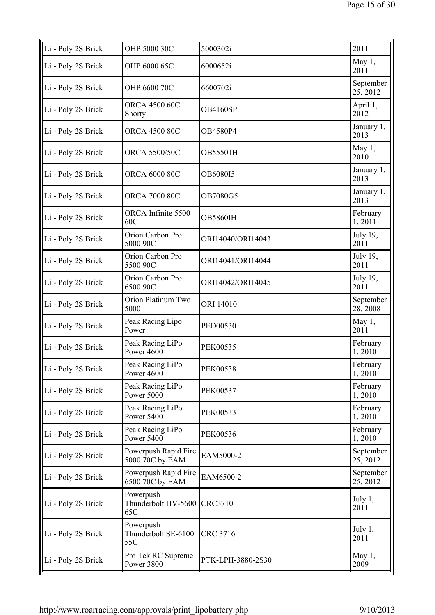| OHP 5000 30C                            | 5000302i          | 2011                  |
|-----------------------------------------|-------------------|-----------------------|
| OHP 6000 65C                            | 6000652i          | May 1,<br>2011        |
| OHP 6600 70C                            | 6600702i          | September<br>25, 2012 |
| <b>ORCA 4500 60C</b><br>Shorty          | OB4160SP          | April 1,<br>2012      |
| <b>ORCA 4500 80C</b>                    | OB4580P4          | January 1,<br>2013    |
| <b>ORCA 5500/50C</b>                    | OB55501H          | May 1,<br>2010        |
| <b>ORCA 6000 80C</b>                    | OB6080I5          | January 1,<br>2013    |
| <b>ORCA 7000 80C</b>                    | OB7080G5          | January 1,<br>2013    |
| ORCA Infinite 5500<br>60C               | <b>OB5860IH</b>   | February<br>1,2011    |
| Orion Carbon Pro<br>5000 90C            | ORI14040/ORI14043 | July 19,<br>2011      |
| Orion Carbon Pro<br>5500 90C            | ORI14041/ORI14044 | July 19,<br>2011      |
| Orion Carbon Pro<br>6500 90C            | ORI14042/ORI14045 | July 19,<br>2011      |
| Orion Platinum Two<br>5000              | ORI 14010         | September<br>28, 2008 |
| Peak Racing Lipo<br>Power               | PED00530          | May 1,<br>2011        |
| Peak Racing LiPo<br>Power 4600          | <b>PEK00535</b>   | February<br>1,2010    |
| Peak Racing LiPo<br>Power 4600          | <b>PEK00538</b>   | February<br>1,2010    |
| Peak Racing LiPo<br>Power 5000          | <b>PEK00537</b>   | February<br>1,2010    |
| Peak Racing LiPo<br>Power 5400          | PEK00533          | February<br>1,2010    |
| Peak Racing LiPo<br>Power 5400          | <b>PEK00536</b>   | February<br>1,2010    |
| Powerpush Rapid Fire<br>5000 70C by EAM | EAM5000-2         | September<br>25, 2012 |
| Powerpush Rapid Fire<br>6500 70C by EAM | EAM6500-2         | September<br>25, 2012 |
| Powerpush<br>Thunderbolt HV-5600<br>65C | <b>CRC3710</b>    | July 1,<br>2011       |
| Powerpush<br>Thunderbolt SE-6100<br>55C | CRC 3716          | July 1,<br>2011       |
| Pro Tek RC Supreme<br>Power 3800        | PTK-LPH-3880-2S30 | May 1,<br>2009        |
|                                         |                   |                       |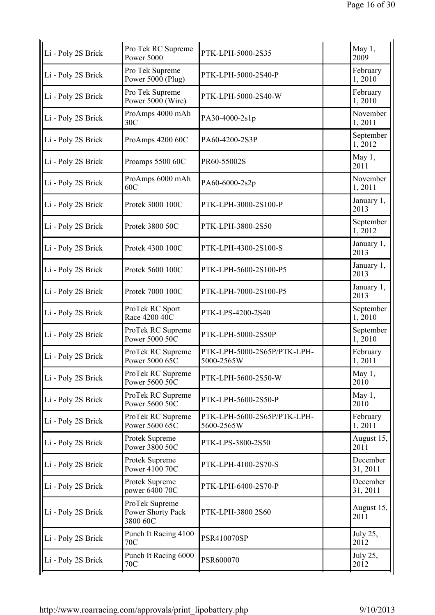| Pro Tek RC Supreme<br>Power 5000                | PTK-LPH-5000-2S35                         | May 1,<br>2009       |
|-------------------------------------------------|-------------------------------------------|----------------------|
| Pro Tek Supreme<br>Power 5000 (Plug)            | PTK-LPH-5000-2S40-P                       | February<br>1,2010   |
| Pro Tek Supreme<br>Power 5000 (Wire)            | PTK-LPH-5000-2S40-W                       | February<br>1,2010   |
| ProAmps 4000 mAh<br>30C                         | PA30-4000-2s1p                            | November<br>1,2011   |
| ProAmps 4200 60C                                | PA60-4200-2S3P                            | September<br>1,2012  |
| Proamps 5500 60C                                | PR60-55002S                               | May 1,<br>2011       |
| ProAmps 6000 mAh<br>60C                         | PA60-6000-2s2p                            | November<br>1,2011   |
| Protek 3000 100C                                | PTK-LPH-3000-2S100-P                      | January 1,<br>2013   |
| Protek 3800 50C                                 | PTK-LPH-3800-2S50                         | September<br>1,2012  |
| Protek 4300 100C                                | PTK-LPH-4300-2S100-S                      | January 1,<br>2013   |
| Protek 5600 100C                                | PTK-LPH-5600-2S100-P5                     | January 1,<br>2013   |
| Protek 7000 100C                                | PTK-LPH-7000-2S100-P5                     | January 1,<br>2013   |
| ProTek RC Sport<br>Race 4200 40C                | PTK-LPS-4200-2S40                         | September<br>1,2010  |
| ProTek RC Supreme<br>Power 5000 50C             | PTK-LPH-5000-2S50P                        | September<br>1,2010  |
| ProTek RC Supreme<br>Power 5000 65C             | PTK-LPH-5000-2S65P/PTK-LPH-<br>5000-2565W | February<br>1,2011   |
| ProTek RC Supreme<br>Power 5600 50C             | PTK-LPH-5600-2S50-W                       | May $1$ ,<br>2010    |
| ProTek RC Supreme<br>Power 5600 50C             | PTK-LPH-5600-2S50-P                       | May 1,<br>2010       |
| ProTek RC Supreme<br>Power 5600 65C             | PTK-LPH-5600-2S65P/PTK-LPH-<br>5600-2565W | February<br>1,2011   |
| Protek Supreme<br>Power 3800 50C                | PTK-LPS-3800-2S50                         | August 15,<br>2011   |
| Protek Supreme<br>Power 4100 70C                | PTK-LPH-4100-2S70-S                       | December<br>31, 2011 |
| Protek Supreme<br>power 6400 70C                | PTK-LPH-6400-2S70-P                       | December<br>31, 2011 |
| ProTek Supreme<br>Power Shorty Pack<br>3800 60C | PTK-LPH-3800 2S60                         | August 15,<br>2011   |
| Punch It Racing 4100<br>70C                     | PSR410070SP                               | July 25,<br>2012     |
| Punch It Racing 6000<br><b>70C</b>              | PSR600070                                 | July 25,<br>2012     |
|                                                 |                                           |                      |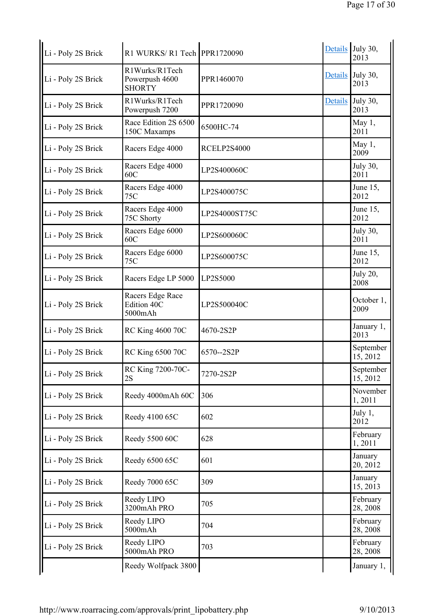| Li - Poly 2S Brick | R1 WURKS/R1 Tech PPR1720090                       |               |                | Details July 30,<br>2013 |
|--------------------|---------------------------------------------------|---------------|----------------|--------------------------|
| Li - Poly 2S Brick | R1Wurks/R1Tech<br>Powerpush 4600<br><b>SHORTY</b> | PPR1460070    | <b>Details</b> | July 30,<br>2013         |
| Li - Poly 2S Brick | R1Wurks/R1Tech<br>Powerpush 7200                  | PPR1720090    | <b>Details</b> | July 30,<br>2013         |
| Li - Poly 2S Brick | Race Edition 2S 6500<br>150C Maxamps              | 6500HC-74     |                | May 1,<br>2011           |
| Li - Poly 2S Brick | Racers Edge 4000                                  | RCELP2S4000   |                | May 1,<br>2009           |
| Li - Poly 2S Brick | Racers Edge 4000<br>60C                           | LP2S400060C   |                | July 30,<br>2011         |
| Li - Poly 2S Brick | Racers Edge 4000<br>75C                           | LP2S400075C   |                | June 15,<br>2012         |
| Li - Poly 2S Brick | Racers Edge 4000<br>75C Shorty                    | LP2S4000ST75C |                | June $15$ ,<br>2012      |
| Li - Poly 2S Brick | Racers Edge 6000<br>60C                           | LP2S600060C   |                | July 30,<br>2011         |
| Li - Poly 2S Brick | Racers Edge 6000<br>75C                           | LP2S600075C   |                | June 15,<br>2012         |
| Li - Poly 2S Brick | Racers Edge LP 5000                               | LP2S5000      |                | <b>July 20,</b><br>2008  |
| Li - Poly 2S Brick | Racers Edge Race<br>Edition 40C<br>5000mAh        | LP2S500040C   |                | October 1,<br>2009       |
| Li - Poly 2S Brick | <b>RC King 4600 70C</b>                           | 4670-2S2P     |                | January 1,<br>2013       |
| Li - Poly 2S Brick | <b>RC King 6500 70C</b>                           | 6570--2S2P    |                | September<br>15, 2012    |
| Li - Poly 2S Brick | RC King 7200-70C-<br>2S                           | 7270-2S2P     |                | September<br>15, 2012    |
| Li - Poly 2S Brick | Reedy 4000mAh 60C                                 | 306           |                | November<br>1,2011       |
| Li - Poly 2S Brick | Reedy 4100 65C                                    | 602           |                | July 1,<br>2012          |
| Li - Poly 2S Brick | Reedy 5500 60C                                    | 628           |                | February<br>1,2011       |
| Li - Poly 2S Brick | Reedy 6500 65C                                    | 601           |                | January<br>20, 2012      |
| Li - Poly 2S Brick | Reedy 7000 65C                                    | 309           |                | January<br>15, 2013      |
| Li - Poly 2S Brick | Reedy LIPO<br>3200mAh PRO                         | 705           |                | February<br>28, 2008     |
| Li - Poly 2S Brick | Reedy LIPO<br>5000mAh                             | 704           |                | February<br>28, 2008     |
| Li - Poly 2S Brick | Reedy LIPO<br>5000mAh PRO                         | 703           |                | February<br>28, 2008     |
|                    | Reedy Wolfpack 3800                               |               |                | January 1,               |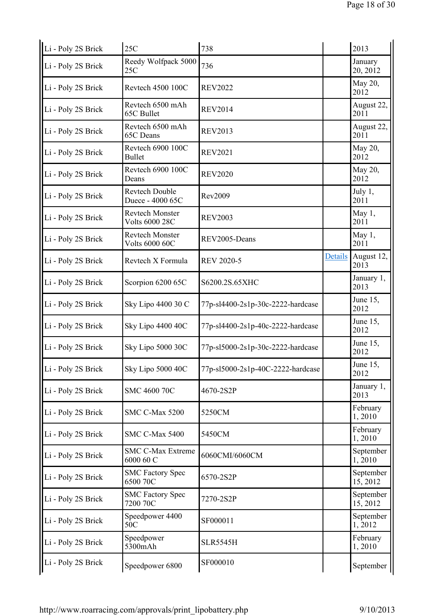| Li - Poly 2S Brick | 25C                                             | 738                               |         | 2013                  |
|--------------------|-------------------------------------------------|-----------------------------------|---------|-----------------------|
| Li - Poly 2S Brick | Reedy Wolfpack 5000<br>25C                      | 736                               |         | January<br>20, 2012   |
| Li - Poly 2S Brick | Revtech 4500 100C                               | <b>REV2022</b>                    |         | May 20,<br>2012       |
| Li - Poly 2S Brick | Revtech 6500 mAh<br>65C Bullet                  | <b>REV2014</b>                    |         | August 22,<br>2011    |
| Li - Poly 2S Brick | Revtech 6500 mAh<br>65C Deans                   | <b>REV2013</b>                    |         | August 22,<br>2011    |
| Li - Poly 2S Brick | Revtech 6900 100C<br><b>Bullet</b>              | <b>REV2021</b>                    |         | May 20,<br>2012       |
| Li - Poly 2S Brick | Revtech 6900 100C<br>Deans                      | <b>REV2020</b>                    |         | May 20,<br>2012       |
| Li - Poly 2S Brick | <b>Revtech Double</b><br>Duece - 4000 65C       | Rev2009                           |         | July 1,<br>2011       |
| Li - Poly 2S Brick | <b>Revtech Monster</b><br><b>Volts 6000 28C</b> | <b>REV2003</b>                    |         | May 1,<br>2011        |
| Li - Poly 2S Brick | <b>Revtech Monster</b><br><b>Volts 6000 60C</b> | REV2005-Deans                     |         | May 1,<br>2011        |
| Li - Poly 2S Brick | Revtech X Formula                               | <b>REV 2020-5</b>                 | Details | August 12,<br>2013    |
| Li - Poly 2S Brick | Scorpion 6200 65C                               | S6200.2S.65XHC                    |         | January 1,<br>2013    |
| Li - Poly 2S Brick | Sky Lipo 4400 30 C                              | 77p-sl4400-2s1p-30c-2222-hardcase |         | June 15,<br>2012      |
| Li - Poly 2S Brick | Sky Lipo 4400 40C                               | 77p-sl4400-2s1p-40c-2222-hardcase |         | June 15,<br>2012      |
| Li - Poly 2S Brick | Sky Lipo 5000 30C                               | 77p-sl5000-2s1p-30c-2222-hardcase |         | June 15,<br>2012      |
| Li - Poly 2S Brick | Sky Lipo 5000 40C                               | 77p-sl5000-2s1p-40C-2222-hardcase |         | June 15,<br>2012      |
| Li - Poly 2S Brick | SMC 4600 70C                                    | 4670-2S2P                         |         | January 1,<br>2013    |
| Li - Poly 2S Brick | SMC C-Max 5200                                  | 5250CM                            |         | February<br>1,2010    |
| Li - Poly 2S Brick | SMC C-Max 5400                                  | 5450CM                            |         | February<br>1,2010    |
| Li - Poly 2S Brick | <b>SMC C-Max Extreme</b><br>6000 60 C           | 6060CMI/6060CM                    |         | September<br>1,2010   |
| Li - Poly 2S Brick | <b>SMC Factory Spec</b><br>6500 70C             | 6570-2S2P                         |         | September<br>15, 2012 |
| Li - Poly 2S Brick | <b>SMC Factory Spec</b><br>7200 70C             | 7270-2S2P                         |         | September<br>15, 2012 |
| Li - Poly 2S Brick | Speedpower 4400<br>50C                          | SF000011                          |         | September<br>1,2012   |
| Li - Poly 2S Brick | Speedpower<br>5300mAh                           | <b>SLR5545H</b>                   |         | February<br>1,2010    |
| Li - Poly 2S Brick | Speedpower 6800                                 | SF000010                          |         | September             |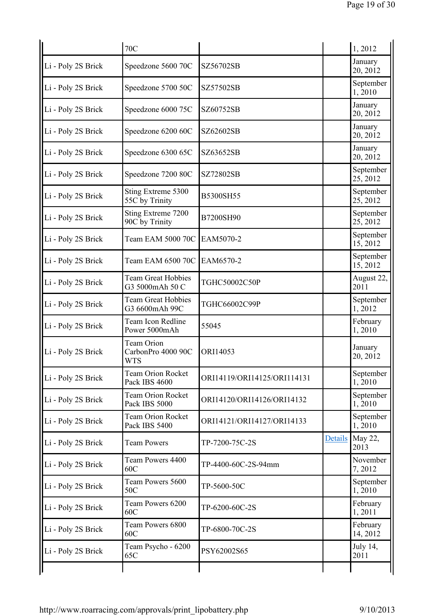|                    | <b>70C</b>                                            |                             |                | 1,2012                |
|--------------------|-------------------------------------------------------|-----------------------------|----------------|-----------------------|
| Li - Poly 2S Brick | Speedzone 5600 70C                                    | SZ56702SB                   |                | January<br>20, 2012   |
| Li - Poly 2S Brick | Speedzone 5700 50C                                    | SZ57502SB                   |                | September<br>1,2010   |
| Li - Poly 2S Brick | Speedzone 6000 75C                                    | SZ60752SB                   |                | January<br>20, 2012   |
| Li - Poly 2S Brick | Speedzone 6200 60C                                    | SZ62602SB                   |                | January<br>20, 2012   |
| Li - Poly 2S Brick | Speedzone 6300 65C                                    | SZ63652SB                   |                | January<br>20, 2012   |
| Li - Poly 2S Brick | Speedzone 7200 80C                                    | SZ72802SB                   |                | September<br>25, 2012 |
| Li - Poly 2S Brick | Sting Extreme 5300<br>55C by Trinity                  | B5300SH55                   |                | September<br>25, 2012 |
| Li - Poly 2S Brick | Sting Extreme 7200<br>90C by Trinity                  | B7200SH90                   |                | September<br>25, 2012 |
| Li - Poly 2S Brick | Team EAM 5000 70C                                     | EAM5070-2                   |                | September<br>15, 2012 |
| Li - Poly 2S Brick | Team EAM 6500 70C                                     | EAM6570-2                   |                | September<br>15, 2012 |
| Li - Poly 2S Brick | <b>Team Great Hobbies</b><br>G3 5000mAh 50 C          | TGHC50002C50P               |                | August 22,<br>2011    |
| Li - Poly 2S Brick | <b>Team Great Hobbies</b><br>G3 6600mAh 99C           | TGHC66002C99P               |                | September<br>1,2012   |
| Li - Poly 2S Brick | Team Icon Redline<br>Power 5000mAh                    | 55045                       |                | February<br>1,2010    |
| Li - Poly 2S Brick | <b>Team Orion</b><br>CarbonPro 4000 90C<br><b>WTS</b> | ORI14053                    |                | January<br>20, 2012   |
| Li - Poly 2S Brick | Team Orion Rocket<br>Pack IBS 4600                    | ORI14119/ORI14125/ORI114131 |                | September<br>1,2010   |
| Li - Poly 2S Brick | <b>Team Orion Rocket</b><br>Pack IBS 5000             | ORI14120/ORI14126/ORI14132  |                | September<br>1,2010   |
| Li - Poly 2S Brick | <b>Team Orion Rocket</b><br>Pack IBS 5400             | ORI14121/ORI14127/ORI14133  |                | September<br>1,2010   |
| Li - Poly 2S Brick | <b>Team Powers</b>                                    | TP-7200-75C-2S              | <b>Details</b> | May 22,<br>2013       |
| Li - Poly 2S Brick | Team Powers 4400<br>60C                               | TP-4400-60C-2S-94mm         |                | November<br>7,2012    |
| Li - Poly 2S Brick | Team Powers 5600<br>50C                               | TP-5600-50C                 |                | September<br>1,2010   |
| Li - Poly 2S Brick | Team Powers 6200<br>60C                               | TP-6200-60C-2S              |                | February<br>1,2011    |
| Li - Poly 2S Brick | Team Powers 6800<br>60C                               | TP-6800-70C-2S              |                | February<br>14, 2012  |
| Li - Poly 2S Brick | Team Psycho - 6200<br>65C                             | PSY62002S65                 |                | July 14,<br>2011      |
|                    |                                                       |                             |                |                       |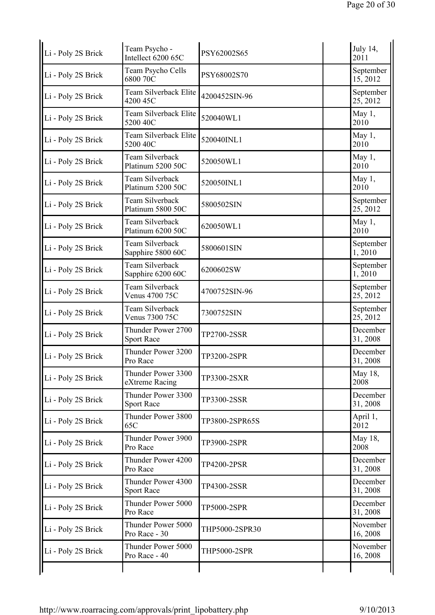| Li - Poly 2S Brick | Team Psycho -<br>Intellect 6200 65C     | PSY62002S65         | July 14,<br>2011      |
|--------------------|-----------------------------------------|---------------------|-----------------------|
| Li - Poly 2S Brick | Team Psycho Cells<br>6800 70C           | PSY68002S70         | September<br>15, 2012 |
| Li - Poly 2S Brick | Team Silverback Elite<br>4200 45C       | 4200452SIN-96       | September<br>25, 2012 |
| Li - Poly 2S Brick | Team Silverback Elite<br>5200 40C       | 520040WL1           | May 1,<br>2010        |
| Li - Poly 2S Brick | Team Silverback Elite<br>5200 40C       | 520040INL1          | May 1,<br>2010        |
| Li - Poly 2S Brick | Team Silverback<br>Platinum 5200 50C    | 520050WL1           | May 1,<br>2010        |
| Li - Poly 2S Brick | Team Silverback<br>Platinum 5200 50C    | 520050INL1          | May 1,<br>2010        |
| Li - Poly 2S Brick | Team Silverback<br>Platinum 5800 50C    | 5800502SIN          | September<br>25, 2012 |
| Li - Poly 2S Brick | Team Silverback<br>Platinum 6200 50C    | 620050WL1           | May 1,<br>2010        |
| Li - Poly 2S Brick | Team Silverback<br>Sapphire 5800 60C    | 5800601SIN          | September<br>1,2010   |
| Li - Poly 2S Brick | Team Silverback<br>Sapphire 6200 60C    | 6200602SW           | September<br>1,2010   |
| Li - Poly 2S Brick | Team Silverback<br>Venus 4700 75C       | 4700752SIN-96       | September<br>25, 2012 |
| Li - Poly 2S Brick | Team Silverback<br>Venus 7300 75C       | 7300752SIN          | September<br>25, 2012 |
| Li - Poly 2S Brick | Thunder Power 2700<br><b>Sport Race</b> | TP2700-2SSR         | December<br>31, 2008  |
| Li - Poly 2S Brick | Thunder Power 3200<br>Pro Race          | TP3200-2SPR         | December<br>31, 2008  |
| Li - Poly 2S Brick | Thunder Power 3300<br>eXtreme Racing    | TP3300-2SXR         | May 18,<br>2008       |
| Li - Poly 2S Brick | Thunder Power 3300<br><b>Sport Race</b> | TP3300-2SSR         | December<br>31, 2008  |
| Li - Poly 2S Brick | Thunder Power 3800<br>65C               | TP3800-2SPR65S      | April 1,<br>2012      |
| Li - Poly 2S Brick | Thunder Power 3900<br>Pro Race          | TP3900-2SPR         | May 18,<br>2008       |
| Li - Poly 2S Brick | Thunder Power 4200<br>Pro Race          | TP4200-2PSR         | December<br>31, 2008  |
| Li - Poly 2S Brick | Thunder Power 4300<br><b>Sport Race</b> | TP4300-2SSR         | December<br>31, 2008  |
| Li - Poly 2S Brick | Thunder Power 5000<br>Pro Race          | TP5000-2SPR         | December<br>31, 2008  |
| Li - Poly 2S Brick | Thunder Power 5000<br>Pro Race - 30     | THP5000-2SPR30      | November<br>16, 2008  |
| Li - Poly 2S Brick | Thunder Power 5000<br>Pro Race - 40     | <b>THP5000-2SPR</b> | November<br>16, 2008  |
|                    |                                         |                     |                       |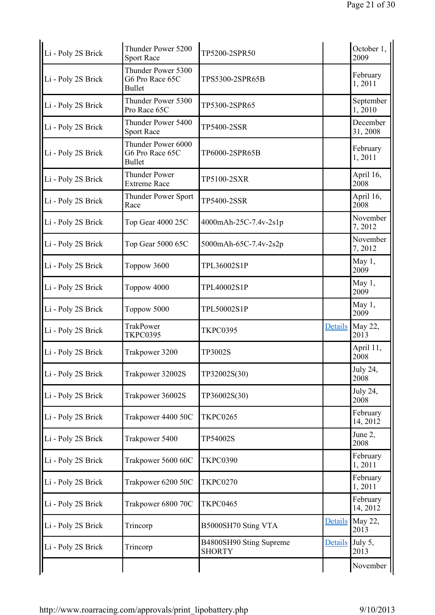| Li - Poly 2S Brick | Thunder Power 5200<br><b>Sport Race</b>                | TP5200-2SPR50                            |                | October 1,<br>2009   |
|--------------------|--------------------------------------------------------|------------------------------------------|----------------|----------------------|
| Li - Poly 2S Brick | Thunder Power 5300<br>G6 Pro Race 65C<br><b>Bullet</b> | TPS5300-2SPR65B                          |                | February<br>1,2011   |
| Li - Poly 2S Brick | Thunder Power 5300<br>Pro Race 65C                     | TP5300-2SPR65                            |                | September<br>1,2010  |
| Li - Poly 2S Brick | Thunder Power 5400<br><b>Sport Race</b>                | TP5400-2SSR                              |                | December<br>31, 2008 |
| Li - Poly 2S Brick | Thunder Power 6000<br>G6 Pro Race 65C<br><b>Bullet</b> | TP6000-2SPR65B                           |                | February<br>1,2011   |
| Li - Poly 2S Brick | <b>Thunder Power</b><br><b>Extreme Race</b>            | TP5100-2SXR                              |                | April 16,<br>2008    |
| Li - Poly 2S Brick | <b>Thunder Power Sport</b><br>Race                     | <b>TP5400-2SSR</b>                       |                | April 16,<br>2008    |
| Li - Poly 2S Brick | Top Gear 4000 25C                                      | 4000mAh-25C-7.4v-2s1p                    |                | November<br>7,2012   |
| Li - Poly 2S Brick | Top Gear 5000 65C                                      | 5000mAh-65C-7.4v-2s2p                    |                | November<br>7,2012   |
| Li - Poly 2S Brick | Toppow 3600                                            | TPL36002S1P                              |                | May 1,<br>2009       |
| Li - Poly 2S Brick | Toppow 4000                                            | TPL40002S1P                              |                | May 1,<br>2009       |
| Li - Poly 2S Brick | Toppow 5000                                            | TPL50002S1P                              |                | May 1,<br>2009       |
| Li - Poly 2S Brick | TrakPower<br><b>TKPC0395</b>                           | <b>TKPC0395</b>                          | <b>Details</b> | May 22,<br>2013      |
| Li - Poly 2S Brick | Trakpower 3200                                         | <b>TP3002S</b>                           |                | April 11,<br>2008    |
| Li - Poly 2S Brick | Trakpower 32002S                                       | TP32002S(30)                             |                | July 24,<br>2008     |
| Li - Poly 2S Brick | Trakpower 36002S                                       | TP36002S(30)                             |                | July 24,<br>2008     |
| Li - Poly 2S Brick | Trakpower 4400 50C                                     | <b>TKPC0265</b>                          |                | February<br>14, 2012 |
| Li - Poly 2S Brick | Trakpower 5400                                         | TP54002S                                 |                | June 2,<br>2008      |
| Li - Poly 2S Brick | Trakpower 5600 60C                                     | <b>TKPC0390</b>                          |                | February<br>1,2011   |
| Li - Poly 2S Brick | Trakpower 6200 50C                                     | <b>TKPC0270</b>                          |                | February<br>1,2011   |
| Li - Poly 2S Brick | Trakpower 6800 70C                                     | <b>TKPC0465</b>                          |                | February<br>14, 2012 |
| Li - Poly 2S Brick | Trincorp                                               | B5000SH70 Sting VTA                      | <b>Details</b> | May 22,<br>2013      |
| Li - Poly 2S Brick | Trincorp                                               | B4800SH90 Sting Supreme<br><b>SHORTY</b> | <b>Details</b> | July 5,<br>2013      |
|                    |                                                        |                                          |                | November             |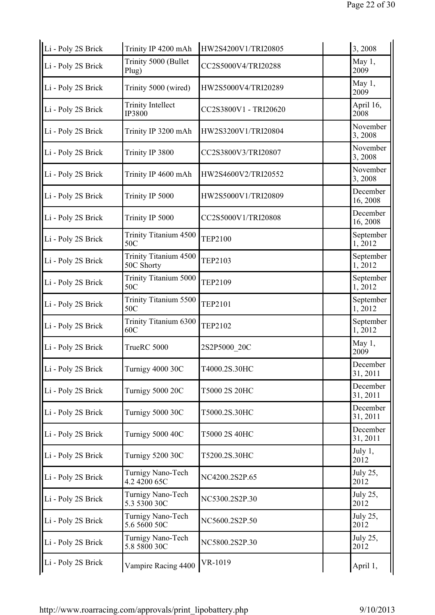| Li - Poly 2S Brick | Trinity IP 4200 mAh                       | HW2S4200V1/TRI20805   | 3,2008               |
|--------------------|-------------------------------------------|-----------------------|----------------------|
| Li - Poly 2S Brick | Trinity 5000 (Bullet<br>Plug)             | CC2S5000V4/TRI20288   | May 1,<br>2009       |
| Li - Poly 2S Brick | Trinity 5000 (wired)                      | HW2S5000V4/TRI20289   | May 1,<br>2009       |
| Li - Poly 2S Brick | <b>Trinity Intellect</b><br><b>IP3800</b> | CC2S3800V1 - TRI20620 | April 16,<br>2008    |
| Li - Poly 2S Brick | Trinity IP 3200 mAh                       | HW2S3200V1/TRI20804   | November<br>3,2008   |
| Li - Poly 2S Brick | Trinity IP 3800                           | CC2S3800V3/TRI20807   | November<br>3,2008   |
| Li - Poly 2S Brick | Trinity IP 4600 mAh                       | HW2S4600V2/TRI20552   | November<br>3,2008   |
| Li - Poly 2S Brick | Trinity IP 5000                           | HW2S5000V1/TRI20809   | December<br>16, 2008 |
| Li - Poly 2S Brick | Trinity IP 5000                           | CC2S5000V1/TRI20808   | December<br>16, 2008 |
| Li - Poly 2S Brick | Trinity Titanium 4500<br>50C              | <b>TEP2100</b>        | September<br>1,2012  |
| Li - Poly 2S Brick | Trinity Titanium 4500<br>50C Shorty       | <b>TEP2103</b>        | September<br>1,2012  |
| Li - Poly 2S Brick | Trinity Titanium 5000<br>50C              | <b>TEP2109</b>        | September<br>1,2012  |
| Li - Poly 2S Brick | Trinity Titanium 5500<br>50C              | <b>TEP2101</b>        | September<br>1,2012  |
| Li - Poly 2S Brick | Trinity Titanium 6300<br>60C              | <b>TEP2102</b>        | September<br>1,2012  |
| Li - Poly 2S Brick | TrueRC 5000                               | 2S2P5000 20C          | May 1,<br>2009       |
| Li - Poly 2S Brick | <b>Turnigy 4000 30C</b>                   | T4000.2S.30HC         | December<br>31, 2011 |
| Li - Poly 2S Brick | <b>Turnigy 5000 20C</b>                   | T5000 2S 20HC         | December<br>31, 2011 |
| Li - Poly 2S Brick | <b>Turnigy 5000 30C</b>                   | T5000.2S.30HC         | December<br>31, 2011 |
| Li - Poly 2S Brick | Turnigy 5000 40C                          | T5000 2S 40HC         | December<br>31, 2011 |
| Li - Poly 2S Brick | <b>Turnigy 5200 30C</b>                   | T5200.2S.30HC         | July 1,<br>2012      |
| Li - Poly 2S Brick | Turnigy Nano-Tech<br>4.2 4200 65C         | NC4200.2S2P.65        | July 25,<br>2012     |
| Li - Poly 2S Brick | Turnigy Nano-Tech<br>5.3 5300 30C         | NC5300.2S2P.30        | July 25,<br>2012     |
| Li - Poly 2S Brick | Turnigy Nano-Tech<br>5.6 5600 50C         | NC5600.2S2P.50        | July 25,<br>2012     |
| Li - Poly 2S Brick | Turnigy Nano-Tech<br>5.8 5800 30C         | NC5800.2S2P.30        | July 25,<br>2012     |
| Li - Poly 2S Brick | Vampire Racing 4400                       | VR-1019               | April 1,             |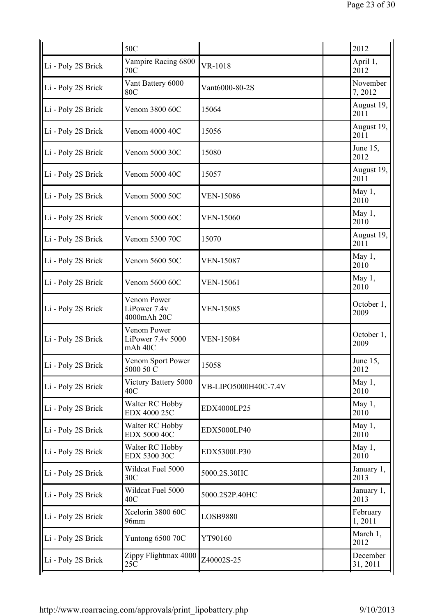| 50C                                         |                      | 2012                 |
|---------------------------------------------|----------------------|----------------------|
| Vampire Racing 6800<br>70C                  | VR-1018              | April 1,<br>2012     |
| Vant Battery 6000<br><b>80C</b>             | Vant6000-80-2S       | November<br>7,2012   |
| Venom 3800 60C                              | 15064                | August 19,<br>2011   |
| Venom 4000 40C                              | 15056                | August 19,<br>2011   |
| Venom 5000 30C                              | 15080                | June 15,<br>2012     |
| Venom 5000 40C                              | 15057                | August 19,<br>2011   |
| Venom 5000 50C                              | <b>VEN-15086</b>     | May 1,<br>2010       |
| Venom 5000 60C                              | <b>VEN-15060</b>     | May 1,<br>2010       |
| Venom 5300 70C                              | 15070                | August 19,<br>2011   |
| Venom 5600 50C                              | <b>VEN-15087</b>     | May 1,<br>2010       |
| Venom 5600 60C                              | <b>VEN-15061</b>     | May 1,<br>2010       |
| Venom Power<br>LiPower 7.4v<br>4000mAh 20C  | <b>VEN-15085</b>     | October 1,<br>2009   |
| Venom Power<br>LiPower 7.4v 5000<br>mAh 40C | <b>VEN-15084</b>     | October 1,<br>2009   |
| Venom Sport Power<br>5000 50 C              | 15058                | June 15,<br>2012     |
| Victory Battery 5000<br>40C                 | VB-LIPO5000H40C-7.4V | May 1,<br>2010       |
| Walter RC Hobby<br>EDX 4000 25C             | EDX4000LP25          | May 1,<br>2010       |
| Walter RC Hobby<br>EDX 5000 40C             | EDX5000LP40          | May 1,<br>2010       |
| Walter RC Hobby<br>EDX 5300 30C             | EDX5300LP30          | May 1,<br>2010       |
| Wildcat Fuel 5000<br>30C                    | 5000.2S.30HC         | January 1,<br>2013   |
| Wildcat Fuel 5000<br>40C                    | 5000.2S2P.40HC       | January 1,<br>2013   |
| Xcelorin 3800 60C<br>96mm                   | LOSB9880             | February<br>1,2011   |
| Yuntong 6500 70C                            | YT90160              | March 1,<br>2012     |
| Zippy Flightmax 4000<br>25C                 | Z40002S-25           | December<br>31, 2011 |
|                                             |                      |                      |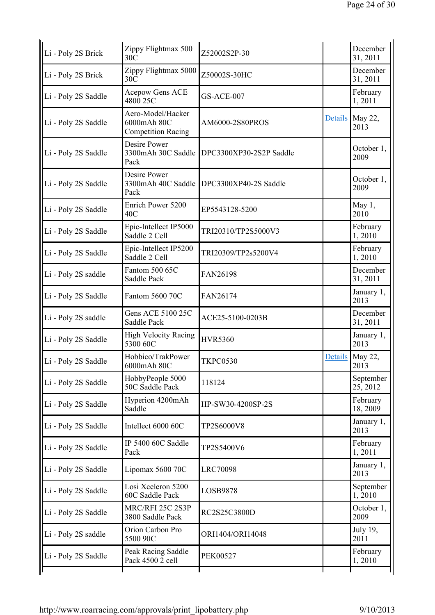| Li - Poly 2S Brick  | Zippy Flightmax 500<br>30 <sup>C</sup>                        | Z52002S2P-30            |                | December<br>31, 2011  |
|---------------------|---------------------------------------------------------------|-------------------------|----------------|-----------------------|
| Li - Poly 2S Brick  | Zippy Flightmax 5000<br>30C                                   | Z50002S-30HC            |                | December<br>31, 2011  |
| Li - Poly 2S Saddle | Acepow Gens ACE<br>4800 25C                                   | <b>GS-ACE-007</b>       |                | February<br>1,2011    |
| Li - Poly 2S Saddle | Aero-Model/Hacker<br>6000mAh 80C<br><b>Competition Racing</b> | AM6000-2S80PROS         | <b>Details</b> | May 22,<br>2013       |
| Li - Poly 2S Saddle | Desire Power<br>3300mAh 30C Saddle<br>Pack                    | DPC3300XP30-2S2P Saddle |                | October 1,<br>2009    |
| Li - Poly 2S Saddle | Desire Power<br>3300mAh 40C Saddle<br>Pack                    | DPC3300XP40-2S Saddle   |                | October 1,<br>2009    |
| Li - Poly 2S Saddle | Enrich Power 5200<br>40C                                      | EP5543128-5200          |                | May 1,<br>2010        |
| Li - Poly 2S Saddle | Epic-Intellect IP5000<br>Saddle 2 Cell                        | TRI20310/TP2S5000V3     |                | February<br>1,2010    |
| Li - Poly 2S Saddle | Epic-Intellect IP5200<br>Saddle 2 Cell                        | TRI20309/TP2s5200V4     |                | February<br>1,2010    |
| Li - Poly 2S saddle | Fantom 500 65C<br>Saddle Pack                                 | FAN26198                |                | December<br>31, 2011  |
| Li - Poly 2S Saddle | Fantom 5600 70C                                               | FAN26174                |                | January 1,<br>2013    |
| Li - Poly 2S saddle | Gens ACE 5100 25C<br>Saddle Pack                              | ACE25-5100-0203B        |                | December<br>31, 2011  |
| Li - Poly 2S Saddle | <b>High Velocity Racing</b><br>5300 60C                       | <b>HVR5360</b>          |                | January 1,<br>2013    |
| Li - Poly 2S Saddle | Hobbico/TrakPower<br>6000mAh 80C                              | <b>TKPC0530</b>         | Details        | May 22,<br>2013       |
| Li - Poly 2S Saddle | HobbyPeople 5000<br>50C Saddle Pack                           | 118124                  |                | September<br>25, 2012 |
| Li - Poly 2S Saddle | Hyperion 4200mAh<br>Saddle                                    | HP-SW30-4200SP-2S       |                | February<br>18, 2009  |
| Li - Poly 2S Saddle | Intellect 6000 60C                                            | TP2S6000V8              |                | January 1,<br>2013    |
| Li - Poly 2S Saddle | IP 5400 60C Saddle<br>Pack                                    | TP2S5400V6              |                | February<br>1,2011    |
| Li - Poly 2S Saddle | Lipomax 5600 70C                                              | <b>LRC70098</b>         |                | January 1,<br>2013    |
| Li - Poly 2S Saddle | Losi Xceleron 5200<br><b>60C Saddle Pack</b>                  | LOSB9878                |                | September<br>1,2010   |
| Li - Poly 2S Saddle | <b>MRC/RFI 25C 2S3P</b><br>3800 Saddle Pack                   | RC2S25C3800D            |                | October 1,<br>2009    |
| Li - Poly 2S saddle | Orion Carbon Pro<br>5500 90C                                  | ORI1404/ORI14048        |                | July 19,<br>2011      |
| Li - Poly 2S Saddle | Peak Racing Saddle<br>Pack 4500 2 cell                        | <b>PEK00527</b>         |                | February<br>1,2010    |
|                     |                                                               |                         |                |                       |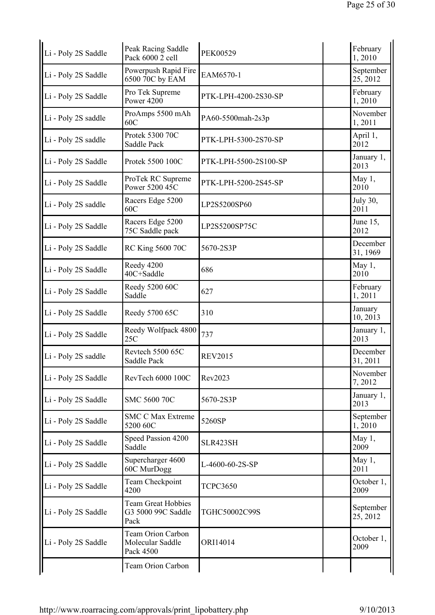| Li - Poly 2S Saddle | Peak Racing Saddle<br>Pack 6000 2 cell                    | <b>PEK00529</b>       | February<br>1,2010    |
|---------------------|-----------------------------------------------------------|-----------------------|-----------------------|
| Li - Poly 2S Saddle | Powerpush Rapid Fire<br>6500 70C by EAM                   | EAM6570-1             | September<br>25, 2012 |
| Li - Poly 2S Saddle | Pro Tek Supreme<br><b>Power 4200</b>                      | PTK-LPH-4200-2S30-SP  | February<br>1,2010    |
| Li - Poly 2S saddle | ProAmps 5500 mAh<br>60C                                   | PA60-5500mah-2s3p     | November<br>1,2011    |
| Li - Poly 2S saddle | Protek 5300 70C<br><b>Saddle Pack</b>                     | PTK-LPH-5300-2S70-SP  | April 1,<br>2012      |
| Li - Poly 2S Saddle | Protek 5500 100C                                          | PTK-LPH-5500-2S100-SP | January 1,<br>2013    |
| Li - Poly 2S Saddle | ProTek RC Supreme<br>Power 5200 45C                       | PTK-LPH-5200-2S45-SP  | May 1,<br>2010        |
| Li - Poly 2S saddle | Racers Edge 5200<br>60C                                   | LP2S5200SP60          | July 30,<br>2011      |
| Li - Poly 2S Saddle | Racers Edge 5200<br>75C Saddle pack                       | LP2S5200SP75C         | June 15,<br>2012      |
| Li - Poly 2S Saddle | <b>RC King 5600 70C</b>                                   | 5670-2S3P             | December<br>31, 1969  |
| Li - Poly 2S Saddle | Reedy 4200<br>40C+Saddle                                  | 686                   | May 1,<br>2010        |
| Li - Poly 2S Saddle | Reedy 5200 60C<br>Saddle                                  | 627                   | February<br>1,2011    |
| Li - Poly 2S Saddle | Reedy 5700 65C                                            | 310                   | January<br>10, 2013   |
| Li - Poly 2S Saddle | Reedy Wolfpack 4800<br>25C                                | 737                   | January 1,<br>2013    |
| Li - Poly 2S saddle | Revtech 5500 65C<br>Saddle Pack                           | <b>REV2015</b>        | December<br>31, 2011  |
| Li - Poly 2S Saddle | RevTech 6000 100C                                         | Rev2023               | November<br>7,2012    |
| Li - Poly 2S Saddle | SMC 5600 70C                                              | 5670-2S3P             | January 1,<br>2013    |
| Li - Poly 2S Saddle | <b>SMC C Max Extreme</b><br>5200 60C                      | 5260SP                | September<br>1,2010   |
| Li - Poly 2S Saddle | Speed Passion 4200<br>Saddle                              | SLR423SH              | May 1,<br>2009        |
| Li - Poly 2S Saddle | Supercharger 4600<br>60C MurDogg                          | L-4600-60-2S-SP       | May 1,<br>2011        |
| Li - Poly 2S Saddle | Team Checkpoint<br>4200                                   | <b>TCPC3650</b>       | October 1,<br>2009    |
| Li - Poly 2S Saddle | <b>Team Great Hobbies</b><br>G3 5000 99C Saddle<br>Pack   | TGHC50002C99S         | September<br>25, 2012 |
| Li - Poly 2S Saddle | <b>Team Orion Carbon</b><br>Molecular Saddle<br>Pack 4500 | ORI14014              | October 1,<br>2009    |
|                     | Team Orion Carbon                                         |                       |                       |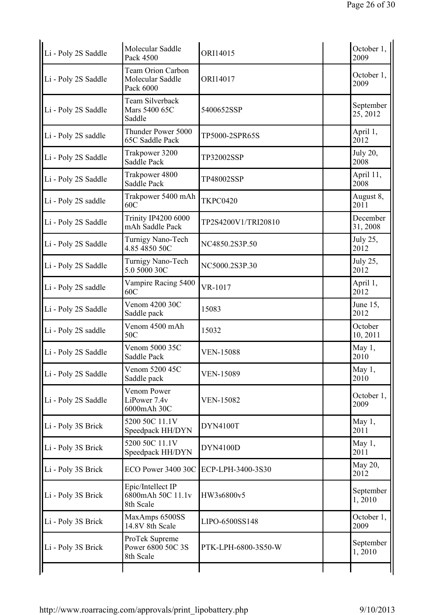| Li - Poly 2S Saddle | Molecular Saddle<br>Pack 4500                             | ORI14015            | October 1,<br>2009      |
|---------------------|-----------------------------------------------------------|---------------------|-------------------------|
| Li - Poly 2S Saddle | <b>Team Orion Carbon</b><br>Molecular Saddle<br>Pack 6000 | ORI14017            | October 1,<br>2009      |
| Li - Poly 2S Saddle | Team Silverback<br>Mars 5400 65C<br>Saddle                | 5400652SSP          | September<br>25, 2012   |
| Li - Poly 2S saddle | Thunder Power 5000<br><b>65C Saddle Pack</b>              | TP5000-2SPR65S      | April 1,<br>2012        |
| Li - Poly 2S Saddle | Trakpower 3200<br><b>Saddle Pack</b>                      | TP32002SSP          | <b>July 20,</b><br>2008 |
| Li - Poly 2S Saddle | Trakpower 4800<br>Saddle Pack                             | TP48002SSP          | April 11,<br>2008       |
| Li - Poly 2S saddle | Trakpower 5400 mAh<br>60C                                 | <b>TKPC0420</b>     | August 8,<br>2011       |
| Li - Poly 2S Saddle | <b>Trinity IP4200 6000</b><br>mAh Saddle Pack             | TP2S4200V1/TRI20810 | December<br>31, 2008    |
| Li - Poly 2S Saddle | Turnigy Nano-Tech<br>4.85 4850 50C                        | NC4850.2S3P.50      | July 25,<br>2012        |
| Li - Poly 2S Saddle | Turnigy Nano-Tech<br>5.0 5000 30C                         | NC5000.2S3P.30      | July 25,<br>2012        |
| Li - Poly 2S saddle | Vampire Racing 5400<br>60C                                | VR-1017             | April 1,<br>2012        |
| Li - Poly 2S Saddle | Venom 4200 30C<br>Saddle pack                             | 15083               | June $15$ ,<br>2012     |
| Li - Poly 2S saddle | Venom 4500 mAh<br>50C                                     | 15032               | October<br>10, 2011     |
| Li - Poly 2S Saddle | Venom 5000 35C<br><b>Saddle Pack</b>                      | <b>VEN-15088</b>    | May 1,<br>2010          |
| Li - Poly 2S Saddle | Venom 5200 45C<br>Saddle pack                             | <b>VEN-15089</b>    | May 1,<br>2010          |
| Li - Poly 2S Saddle | Venom Power<br>LiPower 7.4v<br>6000mAh 30C                | <b>VEN-15082</b>    | October 1,<br>2009      |
| Li - Poly 3S Brick  | 5200 50C 11.1V<br>Speedpack HH/DYN                        | DYN4100T            | May 1,<br>2011          |
| Li - Poly 3S Brick  | 5200 50C 11.1V<br>Speedpack HH/DYN                        | <b>DYN4100D</b>     | May 1,<br>2011          |
| Li - Poly 3S Brick  | ECO Power 3400 30C                                        | ECP-LPH-3400-3S30   | May 20,<br>2012         |
| Li - Poly 3S Brick  | Epic/Intellect IP<br>6800mAh 50C 11.1v<br>8th Scale       | HW3s6800v5          | September<br>1,2010     |
| Li - Poly 3S Brick  | MaxAmps 6500SS<br>14.8V 8th Scale                         | LIPO-6500SS148      | October 1,<br>2009      |
| Li - Poly 3S Brick  | ProTek Supreme<br>Power 6800 50C 3S<br>8th Scale          | PTK-LPH-6800-3S50-W | September<br>1,2010     |
|                     |                                                           |                     |                         |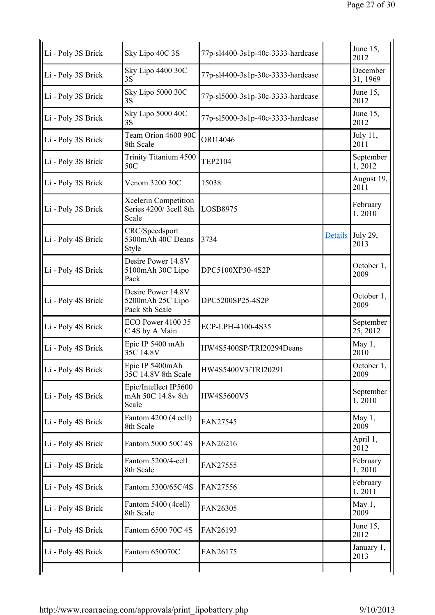| Li - Poly 3S Brick | Sky Lipo 40C 3S                                          | 77p-sl4400-3s1p-40c-3333-hardcase |         | June 15,<br>2012      |
|--------------------|----------------------------------------------------------|-----------------------------------|---------|-----------------------|
| Li - Poly 3S Brick | Sky Lipo 4400 30C<br>3S                                  | 77p-sl4400-3s1p-30c-3333-hardcase |         | December<br>31, 1969  |
| Li - Poly 3S Brick | Sky Lipo 5000 30C<br>3S                                  | 77p-sl5000-3s1p-30c-3333-hardcase |         | June 15,<br>2012      |
| Li - Poly 3S Brick | Sky Lipo 5000 40C<br>3S                                  | 77p-sl5000-3s1p-40c-3333-hardcase |         | June 15,<br>2012      |
| Li - Poly 3S Brick | Team Orion 4600 90C<br>8th Scale                         | ORI14046                          |         | July 11,<br>2011      |
| Li - Poly 3S Brick | Trinity Titanium 4500<br>50C                             | <b>TEP2104</b>                    |         | September<br>1,2012   |
| Li - Poly 3S Brick | Venom 3200 30C                                           | 15038                             |         | August 19,<br>2011    |
| Li - Poly 3S Brick | Xcelerin Competition<br>Series 4200/3cell 8th<br>Scale   | LOSB8975                          |         | February<br>1,2010    |
| Li - Poly 4S Brick | CRC/Speedsport<br>5300mAh 40C Deans<br>Style             | 3734                              | Details | July 29,<br>2013      |
| Li - Poly 4S Brick | Desire Power 14.8V<br>5100mAh 30C Lipo<br>Pack           | DPC5100XP30-4S2P                  |         | October 1,<br>2009    |
| Li - Poly 4S Brick | Desire Power 14.8V<br>5200mAh 25C Lipo<br>Pack 8th Scale | DPC5200SP25-4S2P                  |         | October 1,<br>2009    |
| Li - Poly 4S Brick | ECO Power 4100 35<br>C 4S by A Main                      | ECP-LPH-4100-4S35                 |         | September<br>25, 2012 |
| Li - Poly 4S Brick | Epic IP 5400 mAh<br>35C 14.8V                            | HW4S5400SP/TRI20294Deans          |         | May 1,<br>2010        |
| Li - Poly 4S Brick | Epic IP 5400mAh<br>35C 14.8V 8th Scale                   | HW4S5400V3/TRI20291               |         | October 1,<br>2009    |
| Li - Poly 4S Brick | Epic/Intellect IP5600<br>mAh 50C 14.8v 8th<br>Scale      | HW4S5600V5                        |         | September<br>1,2010   |
| Li - Poly 4S Brick | Fantom 4200 (4 cell)<br>8th Scale                        | FAN27545                          |         | May $1,$<br>2009      |
| Li - Poly 4S Brick | Fantom 5000 50C 4S                                       | FAN26216                          |         | April 1,<br>2012      |
| Li - Poly 4S Brick | Fantom 5200/4-cell<br>8th Scale                          | FAN27555                          |         | February<br>1,2010    |
| Li - Poly 4S Brick | Fantom 5300/65C/4S                                       | FAN27556                          |         | February<br>1,2011    |
| Li - Poly 4S Brick | Fantom 5400 (4cell)<br>8th Scale                         | FAN26305                          |         | May 1,<br>2009        |
| Li - Poly 4S Brick | Fantom 6500 70C 4S                                       | FAN26193                          |         | June 15,<br>2012      |
| Li - Poly 4S Brick | Fantom 650070C                                           | FAN26175                          |         | January 1,<br>2013    |
|                    |                                                          |                                   |         |                       |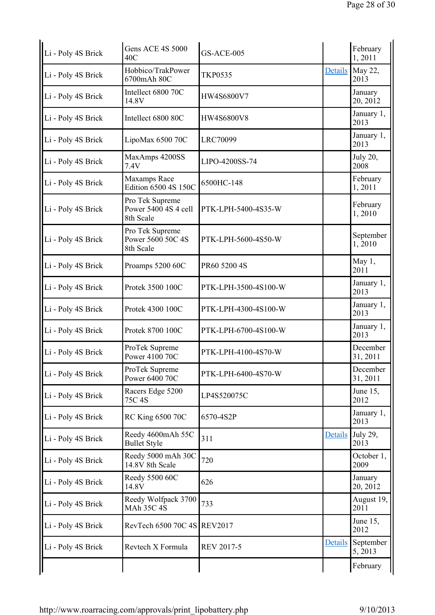| Li - Poly 4S Brick | <b>Gens ACE 4S 5000</b><br>40C                       | <b>GS-ACE-005</b>    |                | February<br>1,2011      |
|--------------------|------------------------------------------------------|----------------------|----------------|-------------------------|
| Li - Poly 4S Brick | Hobbico/TrakPower<br>6700mAh 80C                     | <b>TKP0535</b>       | Details        | May 22,<br>2013         |
| Li - Poly 4S Brick | Intellect 6800 70C<br>14.8V                          | HW4S6800V7           |                | January<br>20, 2012     |
| Li - Poly 4S Brick | Intellect 6800 80C                                   | <b>HW4S6800V8</b>    |                | January 1,<br>2013      |
| Li - Poly 4S Brick | LipoMax 6500 70C                                     | <b>LRC70099</b>      |                | January 1,<br>2013      |
| Li - Poly 4S Brick | MaxAmps 4200SS<br>7.4V                               | LIPO-4200SS-74       |                | <b>July 20,</b><br>2008 |
| Li - Poly 4S Brick | Maxamps Race<br>Edition 6500 4S 150C                 | 6500HC-148           |                | February<br>1,2011      |
| Li - Poly 4S Brick | Pro Tek Supreme<br>Power 5400 4S 4 cell<br>8th Scale | PTK-LPH-5400-4S35-W  |                | February<br>1,2010      |
| Li - Poly 4S Brick | Pro Tek Supreme<br>Power 5600 50C 4S<br>8th Scale    | PTK-LPH-5600-4S50-W  |                | September<br>1,2010     |
| Li - Poly 4S Brick | Proamps 5200 60C                                     | PR60 5200 4S         |                | May 1,<br>2011          |
| Li - Poly 4S Brick | Protek 3500 100C                                     | PTK-LPH-3500-4S100-W |                | January 1,<br>2013      |
| Li - Poly 4S Brick | Protek 4300 100C                                     | PTK-LPH-4300-4S100-W |                | January 1,<br>2013      |
| Li - Poly 4S Brick | Protek 8700 100C                                     | PTK-LPH-6700-4S100-W |                | January 1,<br>2013      |
| Li - Poly 4S Brick | ProTek Supreme<br>Power 4100 70C                     | PTK-LPH-4100-4S70-W  |                | December<br>31, 2011    |
| Li - Poly 4S Brick | ProTek Supreme<br>Power 6400 70C                     | PTK-LPH-6400-4S70-W  |                | December<br>31, 2011    |
| Li - Poly 4S Brick | Racers Edge 5200<br>75C 4S                           | LP4S520075C          |                | June 15,<br>2012        |
| Li - Poly 4S Brick | RC King 6500 70C                                     | 6570-4S2P            |                | January 1,<br>2013      |
| Li - Poly 4S Brick | Reedy 4600mAh 55C<br><b>Bullet Style</b>             | 311                  | Details        | July 29,<br>2013        |
| Li - Poly 4S Brick | Reedy 5000 mAh 30C<br>14.8V 8th Scale                | 720                  |                | October 1,<br>2009      |
| Li - Poly 4S Brick | Reedy 5500 60C<br>14.8V                              | 626                  |                | January<br>20, 2012     |
| Li - Poly 4S Brick | Reedy Wolfpack 3700<br><b>MAh 35C 4S</b>             | 733                  |                | August 19,<br>2011      |
| Li - Poly 4S Brick | RevTech 6500 70C 4S REV2017                          |                      |                | June 15,<br>2012        |
| Li - Poly 4S Brick | Revtech X Formula                                    | <b>REV 2017-5</b>    | <b>Details</b> | September<br>5, 2013    |
|                    |                                                      |                      |                | February                |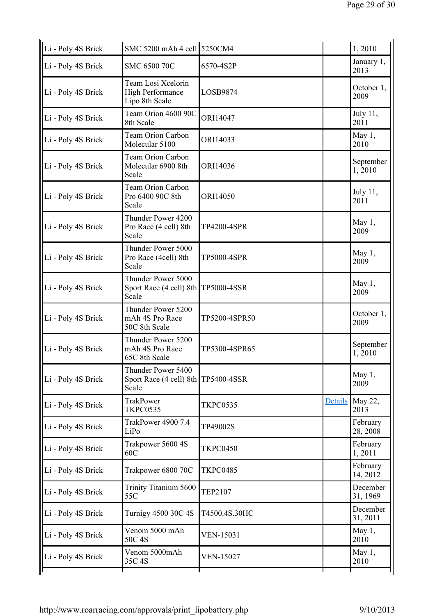| Li - Poly 4S Brick | SMC 5200 mAh 4 cell 5250CM4                                        |                    |         | 1,2010               |
|--------------------|--------------------------------------------------------------------|--------------------|---------|----------------------|
| Li - Poly 4S Brick | SMC 6500 70C                                                       | 6570-4S2P          |         | January 1,<br>2013   |
| Li - Poly 4S Brick | Team Losi Xcelorin<br><b>High Performance</b><br>Lipo 8th Scale    | LOSB9874           |         | October 1,<br>2009   |
| Li - Poly 4S Brick | Team Orion 4600 90C<br>8th Scale                                   | ORI14047           |         | July 11,<br>2011     |
| Li - Poly 4S Brick | <b>Team Orion Carbon</b><br>Molecular 5100                         | ORI14033           |         | May 1,<br>2010       |
| Li - Poly 4S Brick | <b>Team Orion Carbon</b><br>Molecular 6900 8th<br>Scale            | ORI14036           |         | September<br>1,2010  |
| Li - Poly 4S Brick | <b>Team Orion Carbon</b><br>Pro 6400 90C 8th<br>Scale              | ORI14050           |         | July 11,<br>2011     |
| Li - Poly 4S Brick | Thunder Power 4200<br>Pro Race (4 cell) 8th<br>Scale               | TP4200-4SPR        |         | May 1,<br>2009       |
| Li - Poly 4S Brick | Thunder Power 5000<br>Pro Race (4cell) 8th<br>Scale                | <b>TP5000-4SPR</b> |         | May 1,<br>2009       |
| Li - Poly 4S Brick | Thunder Power 5000<br>Sport Race (4 cell) 8th TP5000-4SSR<br>Scale |                    |         | May 1,<br>2009       |
| Li - Poly 4S Brick | Thunder Power 5200<br>mAh 4S Pro Race<br>50C 8th Scale             | TP5200-4SPR50      |         | October 1,<br>2009   |
| Li - Poly 4S Brick | Thunder Power 5200<br>mAh 4S Pro Race<br>65C 8th Scale             | TP5300-4SPR65      |         | September<br>1,2010  |
| Li - Poly 4S Brick | Thunder Power 5400<br>Sport Race (4 cell) 8th TP5400-4SSR<br>Scale |                    |         | May 1,<br>2009       |
| Li - Poly 4S Brick | <b>TrakPower</b><br><b>TKPC0535</b>                                | <b>TKPC0535</b>    | Details | May 22,<br>2013      |
| Li - Poly 4S Brick | TrakPower 4900 7.4<br>LiPo                                         | TP49002S           |         | February<br>28, 2008 |
| Li - Poly 4S Brick | Trakpower 5600 4S<br>60C                                           | <b>TKPC0450</b>    |         | February<br>1,2011   |
| Li - Poly 4S Brick | Trakpower 6800 70C                                                 | <b>TKPC0485</b>    |         | February<br>14, 2012 |
| Li - Poly 4S Brick | Trinity Titanium 5600<br>55C                                       | <b>TEP2107</b>     |         | December<br>31, 1969 |
| Li - Poly 4S Brick | Turnigy 4500 30C 4S                                                | T4500.4S.30HC      |         | December<br>31, 2011 |
| Li - Poly 4S Brick | Venom 5000 mAh<br>50C 4S                                           | <b>VEN-15031</b>   |         | May 1,<br>2010       |
| Li - Poly 4S Brick | Venom 5000mAh<br>35C 4S                                            | <b>VEN-15027</b>   |         | May 1,<br>2010       |
|                    |                                                                    |                    |         |                      |